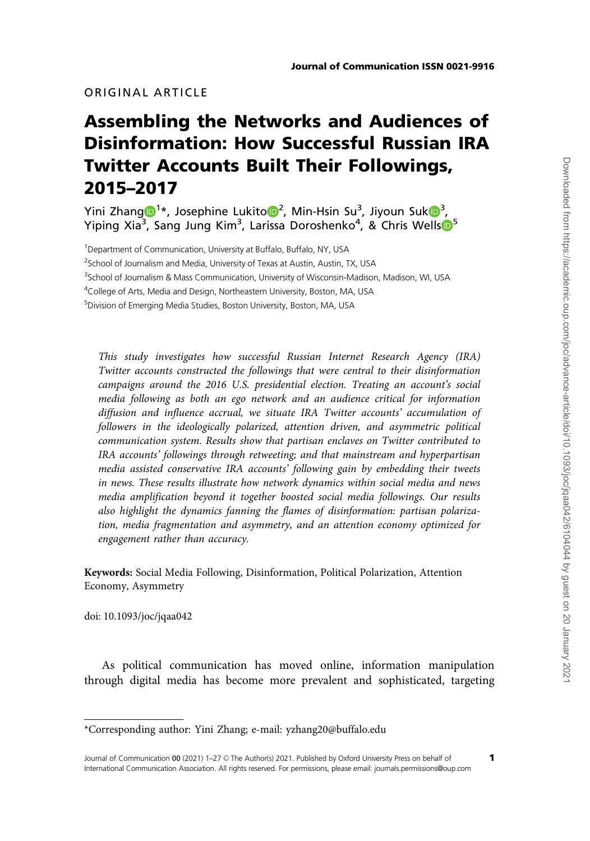# ORIGINAL ARTICLE

# Assembling the Networks and Audiences of Disinformation: How Successful Russian IRA Twitter Accounts Built Their Followings, 2015–2017

Yini Zhan[g](http://orcid.org/0000-0002-2957-1590) $\mathbf{D}^{1*}$ , Josephine Lukito $\mathbf{D}^{2}$  $\mathbf{D}^{2}$  $\mathbf{D}^{2}$ , Min-Hsin Su $^{3}$  $^{3}$  $^{3}$ , Jiyoun Suk $\mathbf{D}^{3}$ , Yiping Xia<sup>3</sup>, Sang Jung Kim<sup>3</sup>, Larissa Doroshenko<sup>4</sup>, & Chris Wells<sup>®[5](http://orcid.org/0000-0002-1126-9799)</sup>

<sup>1</sup>Department of Communication, University at Buffalo, Buffalo, NY, USA <sup>2</sup> School of Journalism and Media, University of Texas at Austin, Austin, TX, USA <sup>3</sup>School of Journalism & Mass Communication, University of Wisconsin-Madison, Madison, WI, USA <sup>4</sup>College of Arts, Media and Design, Northeastern University, Boston, MA, USA 5 Division of Emerging Media Studies, Boston University, Boston, MA, USA

This study investigates how successful Russian Internet Research Agency (IRA) Twitter accounts constructed the followings that were central to their disinformation campaigns around the 2016 U.S. presidential election. Treating an account's social media following as both an ego network and an audience critical for information diffusion and influence accrual, we situate IRA Twitter accounts' accumulation of followers in the ideologically polarized, attention driven, and asymmetric political communication system. Results show that partisan enclaves on Twitter contributed to IRA accounts' followings through retweeting; and that mainstream and hyperpartisan media assisted conservative IRA accounts' following gain by embedding their tweets in news. These results illustrate how network dynamics within social media and news media amplification beyond it together boosted social media followings. Our results also highlight the dynamics fanning the flames of disinformation: partisan polarization, media fragmentation and asymmetry, and an attention economy optimized for engagement rather than accuracy.

Keywords: Social Media Following, Disinformation, Political Polarization, Attention Economy, Asymmetry

doi: 10.1093/joc/jqaa042

As political communication has moved online, information manipulation through digital media has become more prevalent and sophisticated, targeting

<sup>\*</sup>Corresponding author: Yini Zhang; e-mail: yzhang20@buffalo.edu

Journal of Communication 00 (2021) 1-27 © The Author(s) 2021. Published by Oxford University Press on behalf of International Communication Association. All rights reserved. For permissions, please email: journals.permissions@oup.com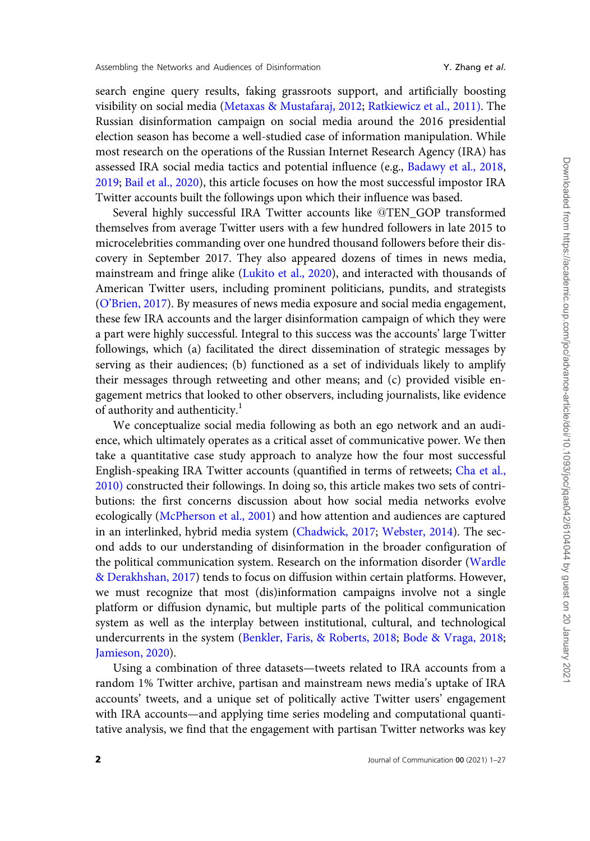search engine query results, faking grassroots support, and artificially boosting visibility on social media ([Metaxas](#page-24-0) & [Mustafaraj, 2012;](#page-24-0) [Ratkiewicz et al., 2011\)](#page-25-0). The Russian disinformation campaign on social media around the 2016 presidential election season has become a well-studied case of information manipulation. While most research on the operations of the Russian Internet Research Agency (IRA) has assessed IRA social media tactics and potential influence (e.g., [Badawy et al., 2018,](#page-22-0) [2019;](#page-22-0) [Bail et al., 2020](#page-22-0)), this article focuses on how the most successful impostor IRA Twitter accounts built the followings upon which their influence was based.

Several highly successful IRA Twitter accounts like @TEN\_GOP transformed themselves from average Twitter users with a few hundred followers in late 2015 to microcelebrities commanding over one hundred thousand followers before their discovery in September 2017. They also appeared dozens of times in news media, mainstream and fringe alike [\(Lukito et al., 2020\)](#page-24-0), and interacted with thousands of American Twitter users, including prominent politicians, pundits, and strategists [\(O'Brien, 2017\)](#page-25-0). By measures of news media exposure and social media engagement, these few IRA accounts and the larger disinformation campaign of which they were a part were highly successful. Integral to this success was the accounts' large Twitter followings, which (a) facilitated the direct dissemination of strategic messages by serving as their audiences; (b) functioned as a set of individuals likely to amplify their messages through retweeting and other means; and (c) provided visible engagement metrics that looked to other observers, including journalists, like evidence of authority and authenticity.<sup>1</sup>

We conceptualize social media following as both an ego network and an audience, which ultimately operates as a critical asset of communicative power. We then take a quantitative case study approach to analyze how the four most successful English-speaking IRA Twitter accounts (quantified in terms of retweets; [Cha et al.,](#page-23-0) [2010\)](#page-23-0) constructed their followings. In doing so, this article makes two sets of contributions: the first concerns discussion about how social media networks evolve ecologically [\(McPherson et al., 2001](#page-24-0)) and how attention and audiences are captured in an interlinked, hybrid media system ([Chadwick, 2017](#page-23-0); [Webster, 2014\)](#page-26-0). The second adds to our understanding of disinformation in the broader configuration of the political communication system. Research on the information disorder ([Wardle](#page-25-0) [& Derakhshan, 2017](#page-25-0)) tends to focus on diffusion within certain platforms. However, we must recognize that most (dis)information campaigns involve not a single platform or diffusion dynamic, but multiple parts of the political communication system as well as the interplay between institutional, cultural, and technological undercurrents in the system [\(Benkler, Faris, & Roberts, 2018](#page-22-0); [Bode](#page-22-0) & [Vraga, 2018;](#page-22-0) [Jamieson, 2020\)](#page-24-0).

Using a combination of three datasets—tweets related to IRA accounts from a random 1% Twitter archive, partisan and mainstream news media's uptake of IRA accounts' tweets, and a unique set of politically active Twitter users' engagement with IRA accounts—and applying time series modeling and computational quantitative analysis, we find that the engagement with partisan Twitter networks was key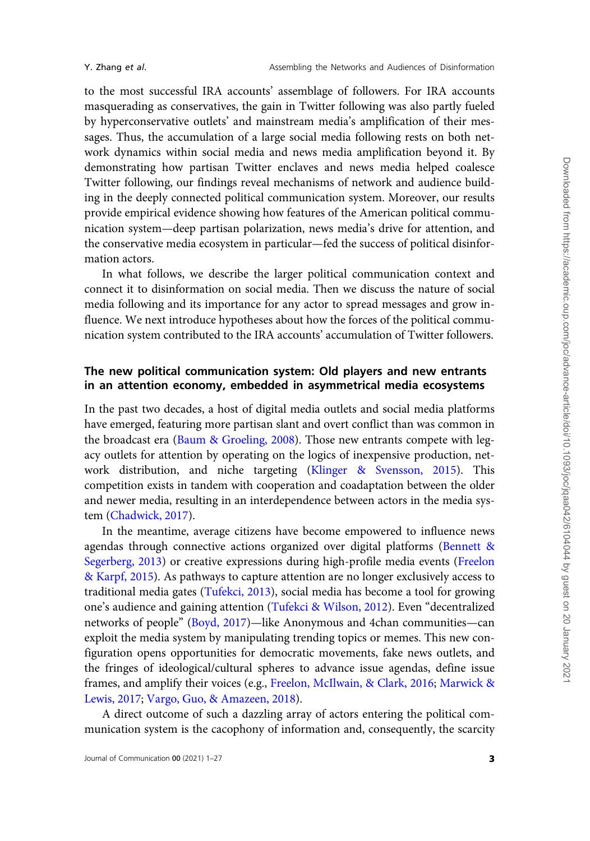to the most successful IRA accounts' assemblage of followers. For IRA accounts masquerading as conservatives, the gain in Twitter following was also partly fueled by hyperconservative outlets' and mainstream media's amplification of their messages. Thus, the accumulation of a large social media following rests on both network dynamics within social media and news media amplification beyond it. By demonstrating how partisan Twitter enclaves and news media helped coalesce Twitter following, our findings reveal mechanisms of network and audience building in the deeply connected political communication system. Moreover, our results provide empirical evidence showing how features of the American political communication system—deep partisan polarization, news media's drive for attention, and the conservative media ecosystem in particular—fed the success of political disinformation actors.

In what follows, we describe the larger political communication context and connect it to disinformation on social media. Then we discuss the nature of social media following and its importance for any actor to spread messages and grow influence. We next introduce hypotheses about how the forces of the political communication system contributed to the IRA accounts' accumulation of Twitter followers.

# The new political communication system: Old players and new entrants in an attention economy, embedded in asymmetrical media ecosystems

In the past two decades, a host of digital media outlets and social media platforms have emerged, featuring more partisan slant and overt conflict than was common in the broadcast era [\(Baum](#page-22-0) & [Groeling, 2008](#page-22-0)). Those new entrants compete with legacy outlets for attention by operating on the logics of inexpensive production, network distribution, and niche targeting [\(Klinger & Svensson, 2015\)](#page-24-0). This competition exists in tandem with cooperation and coadaptation between the older and newer media, resulting in an interdependence between actors in the media system [\(Chadwick, 2017](#page-23-0)).

In the meantime, average citizens have become empowered to influence news agendas through connective actions organized over digital platforms ([Bennett &](#page-22-0) [Segerberg, 2013\)](#page-22-0) or creative expressions during high-profile media events ([Freelon](#page-23-0) & [Karpf, 2015](#page-23-0)). As pathways to capture attention are no longer exclusively access to traditional media gates ([Tufekci, 2013\)](#page-25-0), social media has become a tool for growing one's audience and gaining attention [\(Tufekci](#page-25-0) & [Wilson, 2012\)](#page-25-0). Even "decentralized networks of people" ([Boyd, 2017](#page-23-0))—like Anonymous and 4chan communities—can exploit the media system by manipulating trending topics or memes. This new configuration opens opportunities for democratic movements, fake news outlets, and the fringes of ideological/cultural spheres to advance issue agendas, define issue frames, and amplify their voices (e.g., [Freelon, McIlwain, & Clark, 2016](#page-23-0); [Marwick &](#page-24-0) [Lewis, 2017;](#page-24-0) [Vargo, Guo, & Amazeen, 2018\)](#page-25-0).

A direct outcome of such a dazzling array of actors entering the political communication system is the cacophony of information and, consequently, the scarcity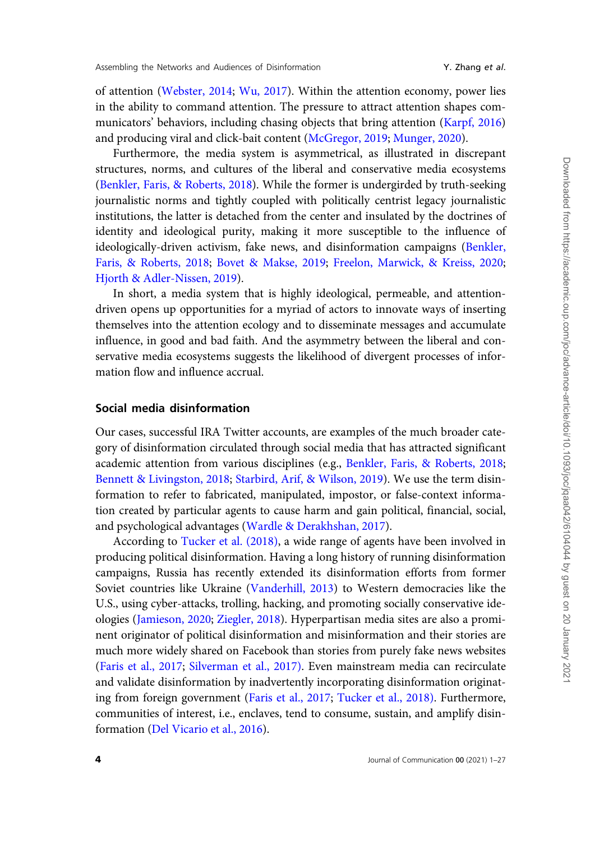of attention [\(Webster, 2014;](#page-26-0) [Wu, 2017\)](#page-26-0). Within the attention economy, power lies in the ability to command attention. The pressure to attract attention shapes communicators' behaviors, including chasing objects that bring attention ([Karpf, 2016](#page-24-0)) and producing viral and click-bait content ([McGregor, 2019;](#page-24-0) [Munger, 2020\)](#page-25-0).

Furthermore, the media system is asymmetrical, as illustrated in discrepant structures, norms, and cultures of the liberal and conservative media ecosystems [\(Benkler, Faris,](#page-22-0) & [Roberts, 2018\)](#page-22-0). While the former is undergirded by truth-seeking journalistic norms and tightly coupled with politically centrist legacy journalistic institutions, the latter is detached from the center and insulated by the doctrines of identity and ideological purity, making it more susceptible to the influence of ideologically-driven activism, fake news, and disinformation campaigns [\(Benkler,](#page-22-0) [Faris, & Roberts, 2018;](#page-22-0) [Bovet](#page-23-0) & [Makse, 2019;](#page-23-0) [Freelon, Marwick, & Kreiss, 2020;](#page-23-0) [Hjorth & Adler-Nissen, 2019\)](#page-24-0).

In short, a media system that is highly ideological, permeable, and attentiondriven opens up opportunities for a myriad of actors to innovate ways of inserting themselves into the attention ecology and to disseminate messages and accumulate influence, in good and bad faith. And the asymmetry between the liberal and conservative media ecosystems suggests the likelihood of divergent processes of information flow and influence accrual.

# Social media disinformation

Our cases, successful IRA Twitter accounts, are examples of the much broader category of disinformation circulated through social media that has attracted significant academic attention from various disciplines (e.g., [Benkler, Faris, & Roberts, 2018;](#page-22-0) [Bennett](#page-22-0) [& Livingston, 2018;](#page-22-0) [Starbird, Arif,](#page-25-0) & [Wilson, 2019\)](#page-25-0). We use the term disinformation to refer to fabricated, manipulated, impostor, or false-context information created by particular agents to cause harm and gain political, financial, social, and psychological advantages ([Wardle](#page-25-0) & [Derakhshan, 2017\)](#page-25-0).

According to [Tucker et al. \(2018\),](#page-25-0) a wide range of agents have been involved in producing political disinformation. Having a long history of running disinformation campaigns, Russia has recently extended its disinformation efforts from former Soviet countries like Ukraine [\(Vanderhill, 2013\)](#page-25-0) to Western democracies like the U.S., using cyber-attacks, trolling, hacking, and promoting socially conservative ideologies ([Jamieson, 2020;](#page-24-0) [Ziegler, 2018\)](#page-26-0). Hyperpartisan media sites are also a prominent originator of political disinformation and misinformation and their stories are much more widely shared on Facebook than stories from purely fake news websites [\(Faris et al., 2017](#page-23-0); [Silverman et al., 2017\).](#page-25-0) Even mainstream media can recirculate and validate disinformation by inadvertently incorporating disinformation originating from foreign government ([Faris et al., 2017;](#page-23-0) [Tucker et al., 2018\)](#page-25-0). Furthermore, communities of interest, i.e., enclaves, tend to consume, sustain, and amplify disinformation ([Del Vicario et al., 2016\)](#page-23-0).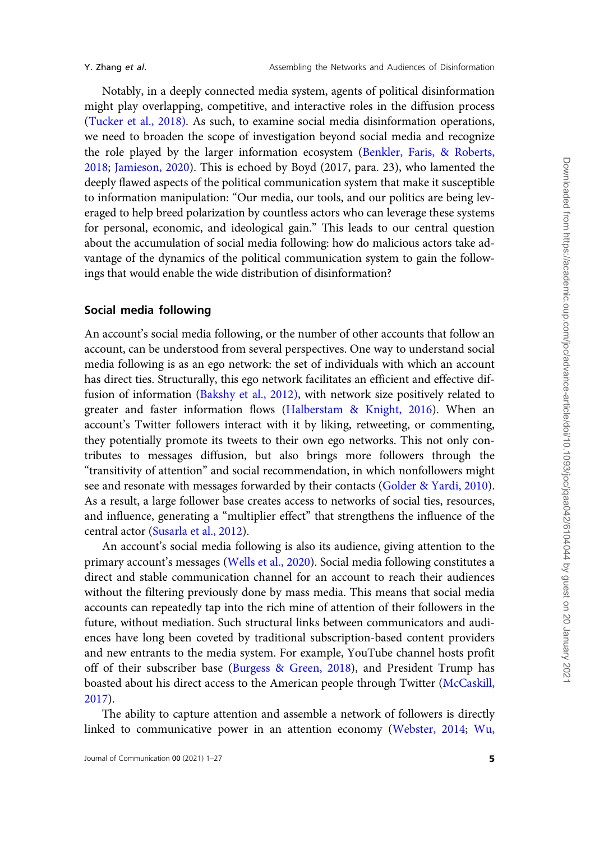Notably, in a deeply connected media system, agents of political disinformation might play overlapping, competitive, and interactive roles in the diffusion process ([Tucker et al., 2018\).](#page-25-0) As such, to examine social media disinformation operations, we need to broaden the scope of investigation beyond social media and recognize the role played by the larger information ecosystem [\(Benkler, Faris, & Roberts,](#page-22-0) [2018](#page-22-0); [Jamieson, 2020](#page-24-0)). This is echoed by Boyd (2017, para. 23), who lamented the deeply flawed aspects of the political communication system that make it susceptible to information manipulation: "Our media, our tools, and our politics are being leveraged to help breed polarization by countless actors who can leverage these systems for personal, economic, and ideological gain." This leads to our central question about the accumulation of social media following: how do malicious actors take advantage of the dynamics of the political communication system to gain the followings that would enable the wide distribution of disinformation?

# Social media following

An account's social media following, or the number of other accounts that follow an account, can be understood from several perspectives. One way to understand social media following is as an ego network: the set of individuals with which an account has direct ties. Structurally, this ego network facilitates an efficient and effective diffusion of information [\(Bakshy et al., 2012\),](#page--1-0) with network size positively related to greater and faster information flows ([Halberstam](#page-24-0) & [Knight, 2016\)](#page-24-0). When an account's Twitter followers interact with it by liking, retweeting, or commenting, they potentially promote its tweets to their own ego networks. This not only contributes to messages diffusion, but also brings more followers through the "transitivity of attention" and social recommendation, in which nonfollowers might see and resonate with messages forwarded by their contacts [\(Golder](#page-23-0) [& Yardi, 2010](#page-23-0)). As a result, a large follower base creates access to networks of social ties, resources, and influence, generating a "multiplier effect" that strengthens the influence of the central actor ([Susarla et al., 2012](#page-25-0)).

An account's social media following is also its audience, giving attention to the primary account's messages ([Wells et al., 2020](#page-26-0)). Social media following constitutes a direct and stable communication channel for an account to reach their audiences without the filtering previously done by mass media. This means that social media accounts can repeatedly tap into the rich mine of attention of their followers in the future, without mediation. Such structural links between communicators and audiences have long been coveted by traditional subscription-based content providers and new entrants to the media system. For example, YouTube channel hosts profit off of their subscriber base ([Burgess & Green, 2018](#page-23-0)), and President Trump has boasted about his direct access to the American people through Twitter [\(McCaskill,](#page-24-0) [2017](#page-24-0)).

The ability to capture attention and assemble a network of followers is directly linked to communicative power in an attention economy ([Webster, 2014](#page-26-0); [Wu,](#page-26-0)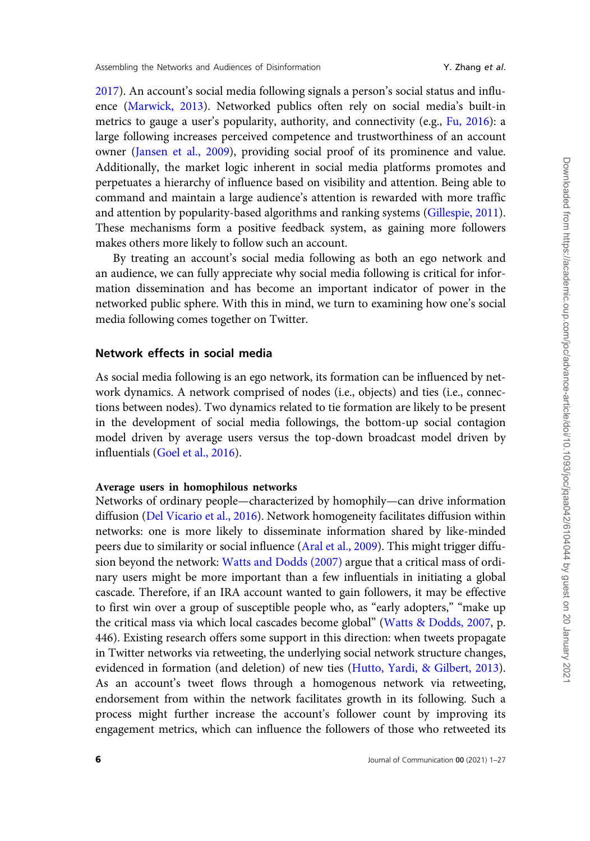[2017\)](#page-26-0). An account's social media following signals a person's social status and influence [\(Marwick, 2013](#page-24-0)). Networked publics often rely on social media's built-in metrics to gauge a user's popularity, authority, and connectivity (e.g., [Fu, 2016\)](#page-23-0): a large following increases perceived competence and trustworthiness of an account owner ([Jansen et al., 2009](#page-24-0)), providing social proof of its prominence and value. Additionally, the market logic inherent in social media platforms promotes and perpetuates a hierarchy of influence based on visibility and attention. Being able to command and maintain a large audience's attention is rewarded with more traffic and attention by popularity-based algorithms and ranking systems ([Gillespie, 2011\)](#page-23-0). These mechanisms form a positive feedback system, as gaining more followers makes others more likely to follow such an account.

By treating an account's social media following as both an ego network and an audience, we can fully appreciate why social media following is critical for information dissemination and has become an important indicator of power in the networked public sphere. With this in mind, we turn to examining how one's social media following comes together on Twitter.

# Network effects in social media

As social media following is an ego network, its formation can be influenced by network dynamics. A network comprised of nodes (i.e., objects) and ties (i.e., connections between nodes). Two dynamics related to tie formation are likely to be present in the development of social media followings, the bottom-up social contagion model driven by average users versus the top-down broadcast model driven by influentials [\(Goel et al., 2016\)](#page-23-0).

#### Average users in homophilous networks

Networks of ordinary people—characterized by homophily—can drive information diffusion [\(Del Vicario et al., 2016\)](#page-23-0). Network homogeneity facilitates diffusion within networks: one is more likely to disseminate information shared by like-minded peers due to similarity or social influence [\(Aral et al., 2009\)](#page-22-0). This might trigger diffusion beyond the network: [Watts and Dodds \(2007\)](#page-25-0) argue that a critical mass of ordinary users might be more important than a few influentials in initiating a global cascade. Therefore, if an IRA account wanted to gain followers, it may be effective to first win over a group of susceptible people who, as "early adopters," "make up the critical mass via which local cascades become global" [\(Watts](#page-25-0) & [Dodds, 2007,](#page-25-0) p. 446). Existing research offers some support in this direction: when tweets propagate in Twitter networks via retweeting, the underlying social network structure changes, evidenced in formation (and deletion) of new ties [\(Hutto, Yardi, & Gilbert, 2013\)](#page-24-0). As an account's tweet flows through a homogenous network via retweeting, endorsement from within the network facilitates growth in its following. Such a process might further increase the account's follower count by improving its engagement metrics, which can influence the followers of those who retweeted its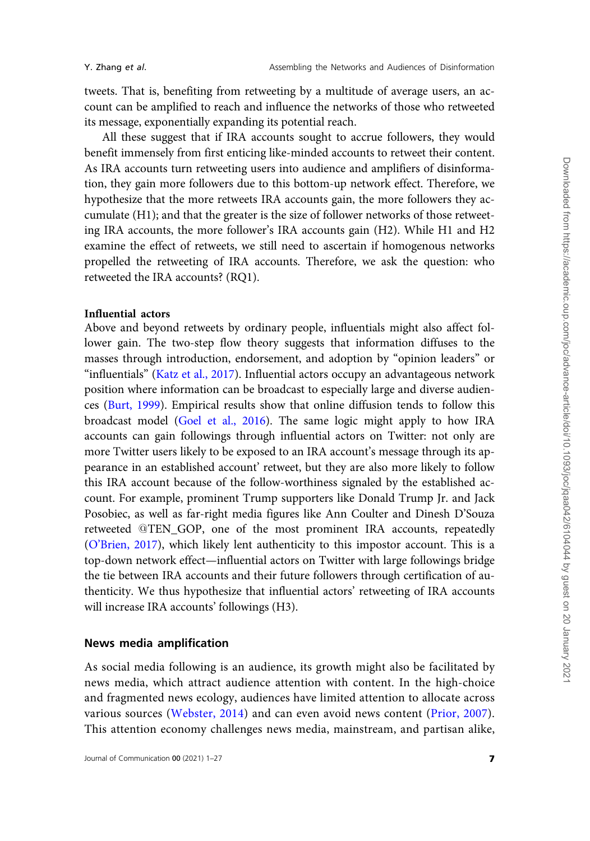tweets. That is, benefiting from retweeting by a multitude of average users, an account can be amplified to reach and influence the networks of those who retweeted its message, exponentially expanding its potential reach.

All these suggest that if IRA accounts sought to accrue followers, they would benefit immensely from first enticing like-minded accounts to retweet their content. As IRA accounts turn retweeting users into audience and amplifiers of disinformation, they gain more followers due to this bottom-up network effect. Therefore, we hypothesize that the more retweets IRA accounts gain, the more followers they accumulate (H1); and that the greater is the size of follower networks of those retweeting IRA accounts, the more follower's IRA accounts gain (H2). While H1 and H2 examine the effect of retweets, we still need to ascertain if homogenous networks propelled the retweeting of IRA accounts. Therefore, we ask the question: who retweeted the IRA accounts? (RQ1).

## Influential actors

Above and beyond retweets by ordinary people, influentials might also affect follower gain. The two-step flow theory suggests that information diffuses to the masses through introduction, endorsement, and adoption by "opinion leaders" or "influentials" ([Katz et al., 2017\)](#page-24-0). Influential actors occupy an advantageous network position where information can be broadcast to especially large and diverse audiences [\(Burt, 1999](#page-23-0)). Empirical results show that online diffusion tends to follow this broadcast model ([Goel et al., 2016](#page-23-0)). The same logic might apply to how IRA accounts can gain followings through influential actors on Twitter: not only are more Twitter users likely to be exposed to an IRA account's message through its appearance in an established account' retweet, but they are also more likely to follow this IRA account because of the follow-worthiness signaled by the established account. For example, prominent Trump supporters like Donald Trump Jr. and Jack Posobiec, as well as far-right media figures like Ann Coulter and Dinesh D'Souza retweeted @TEN\_GOP, one of the most prominent IRA accounts, repeatedly ([O'Brien, 2017\)](#page-25-0), which likely lent authenticity to this impostor account. This is a top-down network effect—influential actors on Twitter with large followings bridge the tie between IRA accounts and their future followers through certification of authenticity. We thus hypothesize that influential actors' retweeting of IRA accounts will increase IRA accounts' followings (H3).

# News media amplification

As social media following is an audience, its growth might also be facilitated by news media, which attract audience attention with content. In the high-choice and fragmented news ecology, audiences have limited attention to allocate across various sources [\(Webster, 2014\)](#page-26-0) and can even avoid news content ([Prior, 2007](#page-25-0)). This attention economy challenges news media, mainstream, and partisan alike,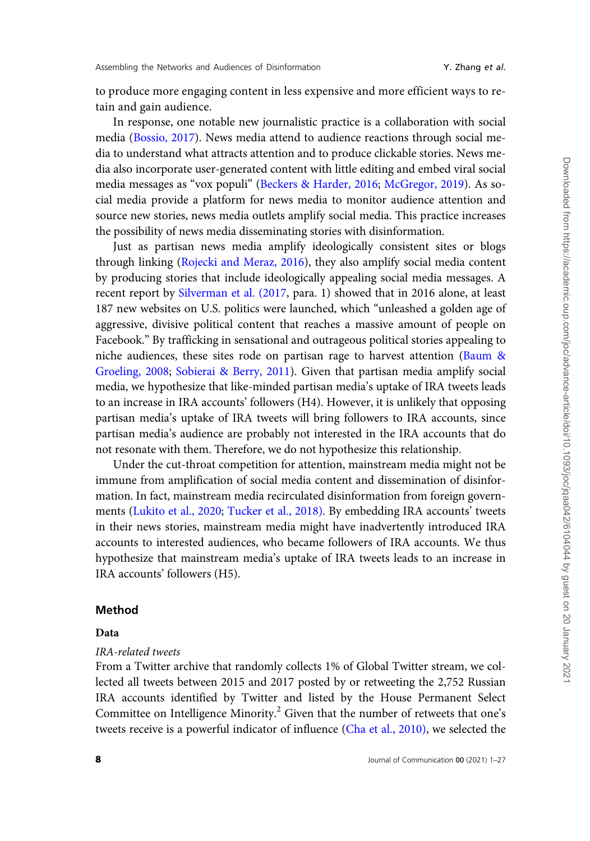to produce more engaging content in less expensive and more efficient ways to retain and gain audience.

In response, one notable new journalistic practice is a collaboration with social media [\(Bossio, 2017\)](#page-23-0). News media attend to audience reactions through social media to understand what attracts attention and to produce clickable stories. News media also incorporate user-generated content with little editing and embed viral social media messages as "vox populi" ([Beckers & Harder, 2016](#page-22-0); [McGregor, 2019](#page-24-0)). As social media provide a platform for news media to monitor audience attention and source new stories, news media outlets amplify social media. This practice increases the possibility of news media disseminating stories with disinformation.

Just as partisan news media amplify ideologically consistent sites or blogs through linking ([Rojecki and Meraz, 2016](#page-25-0)), they also amplify social media content by producing stories that include ideologically appealing social media messages. A recent report by [Silverman et al. \(2017](#page-25-0), para. 1) showed that in 2016 alone, at least 187 new websites on U.S. politics were launched, which "unleashed a golden age of aggressive, divisive political content that reaches a massive amount of people on Facebook." By trafficking in sensational and outrageous political stories appealing to niche audiences, these sites rode on partisan rage to harvest attention [\(Baum](#page-22-0) & [Groeling, 2008;](#page-22-0) [Sobierai & Berry, 2011](#page-25-0)). Given that partisan media amplify social media, we hypothesize that like-minded partisan media's uptake of IRA tweets leads to an increase in IRA accounts' followers (H4). However, it is unlikely that opposing partisan media's uptake of IRA tweets will bring followers to IRA accounts, since partisan media's audience are probably not interested in the IRA accounts that do not resonate with them. Therefore, we do not hypothesize this relationship.

Under the cut-throat competition for attention, mainstream media might not be immune from amplification of social media content and dissemination of disinformation. In fact, mainstream media recirculated disinformation from foreign governments ([Lukito et al., 2020](#page-24-0); [Tucker et al., 2018\)](#page-25-0). By embedding IRA accounts' tweets in their news stories, mainstream media might have inadvertently introduced IRA accounts to interested audiences, who became followers of IRA accounts. We thus hypothesize that mainstream media's uptake of IRA tweets leads to an increase in IRA accounts' followers (H5).

### Method

#### Data

### IRA-related tweets

From a Twitter archive that randomly collects 1% of Global Twitter stream, we collected all tweets between 2015 and 2017 posted by or retweeting the 2,752 Russian IRA accounts identified by Twitter and listed by the House Permanent Select Committee on Intelligence Minority.<sup>2</sup> Given that the number of retweets that one's tweets receive is a powerful indicator of influence ([Cha et al., 2010\),](#page-23-0) we selected the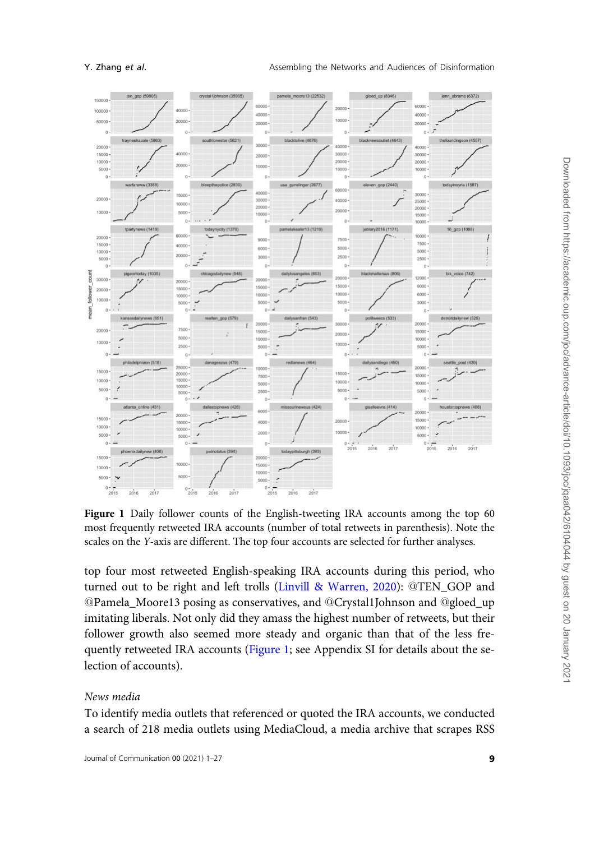<span id="page-8-0"></span>

Figure 1 Daily follower counts of the English-tweeting IRA accounts among the top 60 most frequently retweeted IRA accounts (number of total retweets in parenthesis). Note the scales on the Y-axis are different. The top four accounts are selected for further analyses.

top four most retweeted English-speaking IRA accounts during this period, who turned out to be right and left trolls [\(Linvill & Warren, 2020](#page-24-0)): @TEN\_GOP and @Pamela\_Moore13 posing as conservatives, and @Crystal1Johnson and @gloed\_up imitating liberals. Not only did they amass the highest number of retweets, but their follower growth also seemed more steady and organic than that of the less frequently retweeted IRA accounts (Figure 1; see Appendix SI for details about the selection of accounts).

### News media

To identify media outlets that referenced or quoted the IRA accounts, we conducted a search of 218 media outlets using MediaCloud, a media archive that scrapes RSS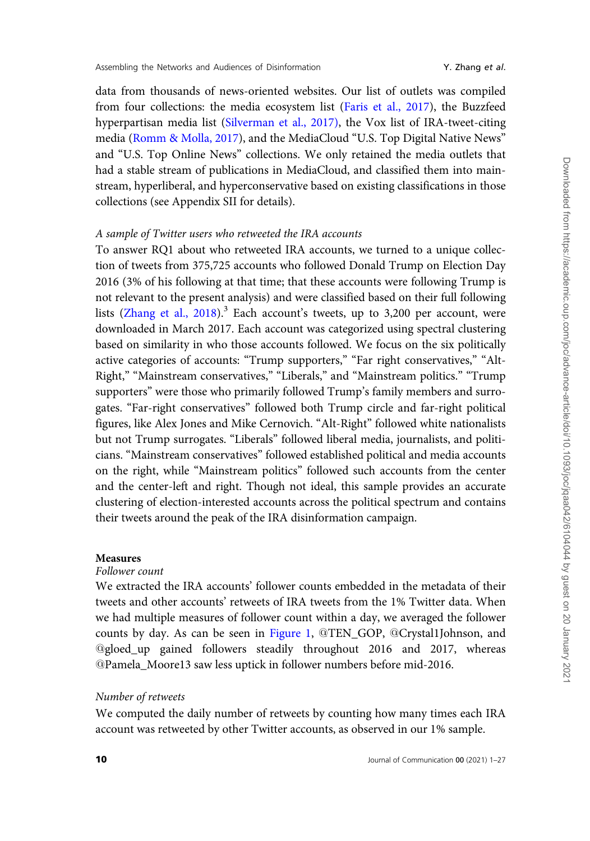data from thousands of news-oriented websites. Our list of outlets was compiled from four collections: the media ecosystem list [\(Faris et al., 2017](#page-23-0)), the Buzzfeed hyperpartisan media list ([Silverman et al., 2017\),](#page-25-0) the Vox list of IRA-tweet-citing media ([Romm & Molla, 2017](#page-25-0)), and the MediaCloud "U.S. Top Digital Native News" and "U.S. Top Online News" collections. We only retained the media outlets that had a stable stream of publications in MediaCloud, and classified them into mainstream, hyperliberal, and hyperconservative based on existing classifications in those collections (see Appendix SII for details).

# A sample of Twitter users who retweeted the IRA accounts

To answer RQ1 about who retweeted IRA accounts, we turned to a unique collection of tweets from 375,725 accounts who followed Donald Trump on Election Day 2016 (3% of his following at that time; that these accounts were following Trump is not relevant to the present analysis) and were classified based on their full following lists ([Zhang et al., 2018](#page-26-0)).<sup>3</sup> Each account's tweets, up to 3,200 per account, were downloaded in March 2017. Each account was categorized using spectral clustering based on similarity in who those accounts followed. We focus on the six politically active categories of accounts: "Trump supporters," "Far right conservatives," "Alt-Right," "Mainstream conservatives," "Liberals," and "Mainstream politics." "Trump supporters" were those who primarily followed Trump's family members and surrogates. "Far-right conservatives" followed both Trump circle and far-right political figures, like Alex Jones and Mike Cernovich. "Alt-Right" followed white nationalists but not Trump surrogates. "Liberals" followed liberal media, journalists, and politicians. "Mainstream conservatives" followed established political and media accounts on the right, while "Mainstream politics" followed such accounts from the center and the center-left and right. Though not ideal, this sample provides an accurate clustering of election-interested accounts across the political spectrum and contains their tweets around the peak of the IRA disinformation campaign.

#### **Measures**

# Follower count

We extracted the IRA accounts' follower counts embedded in the metadata of their tweets and other accounts' retweets of IRA tweets from the 1% Twitter data. When we had multiple measures of follower count within a day, we averaged the follower counts by day. As can be seen in [Figure 1](#page-8-0), @TEN\_GOP, @Crystal1Johnson, and @gloed\_up gained followers steadily throughout 2016 and 2017, whereas @Pamela\_Moore13 saw less uptick in follower numbers before mid-2016.

#### Number of retweets

We computed the daily number of retweets by counting how many times each IRA account was retweeted by other Twitter accounts, as observed in our 1% sample.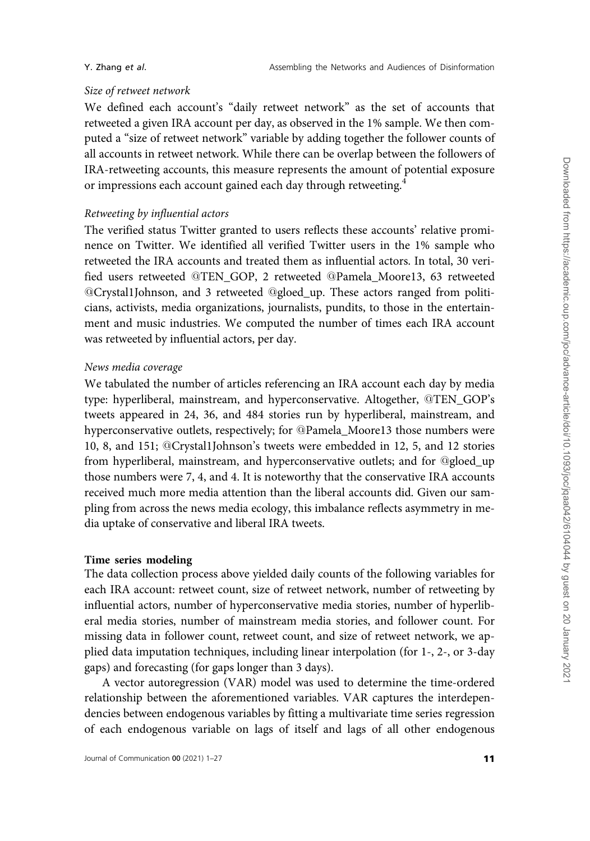# Size of retweet network

We defined each account's "daily retweet network" as the set of accounts that retweeted a given IRA account per day, as observed in the 1% sample. We then computed a "size of retweet network" variable by adding together the follower counts of all accounts in retweet network. While there can be overlap between the followers of IRA-retweeting accounts, this measure represents the amount of potential exposure or impressions each account gained each day through retweeting.<sup>4</sup>

# Retweeting by influential actors

The verified status Twitter granted to users reflects these accounts' relative prominence on Twitter. We identified all verified Twitter users in the 1% sample who retweeted the IRA accounts and treated them as influential actors. In total, 30 verified users retweeted @TEN\_GOP, 2 retweeted @Pamela\_Moore13, 63 retweeted @Crystal1Johnson, and 3 retweeted @gloed\_up. These actors ranged from politicians, activists, media organizations, journalists, pundits, to those in the entertainment and music industries. We computed the number of times each IRA account was retweeted by influential actors, per day.

#### News media coverage

We tabulated the number of articles referencing an IRA account each day by media type: hyperliberal, mainstream, and hyperconservative. Altogether, @TEN\_GOP's tweets appeared in 24, 36, and 484 stories run by hyperliberal, mainstream, and hyperconservative outlets, respectively; for @Pamela\_Moore13 those numbers were 10, 8, and 151; @Crystal1Johnson's tweets were embedded in 12, 5, and 12 stories from hyperliberal, mainstream, and hyperconservative outlets; and for @gloed\_up those numbers were 7, 4, and 4. It is noteworthy that the conservative IRA accounts received much more media attention than the liberal accounts did. Given our sampling from across the news media ecology, this imbalance reflects asymmetry in media uptake of conservative and liberal IRA tweets.

#### Time series modeling

The data collection process above yielded daily counts of the following variables for each IRA account: retweet count, size of retweet network, number of retweeting by influential actors, number of hyperconservative media stories, number of hyperliberal media stories, number of mainstream media stories, and follower count. For missing data in follower count, retweet count, and size of retweet network, we applied data imputation techniques, including linear interpolation (for 1-, 2-, or 3-day gaps) and forecasting (for gaps longer than 3 days).

A vector autoregression (VAR) model was used to determine the time-ordered relationship between the aforementioned variables. VAR captures the interdependencies between endogenous variables by fitting a multivariate time series regression of each endogenous variable on lags of itself and lags of all other endogenous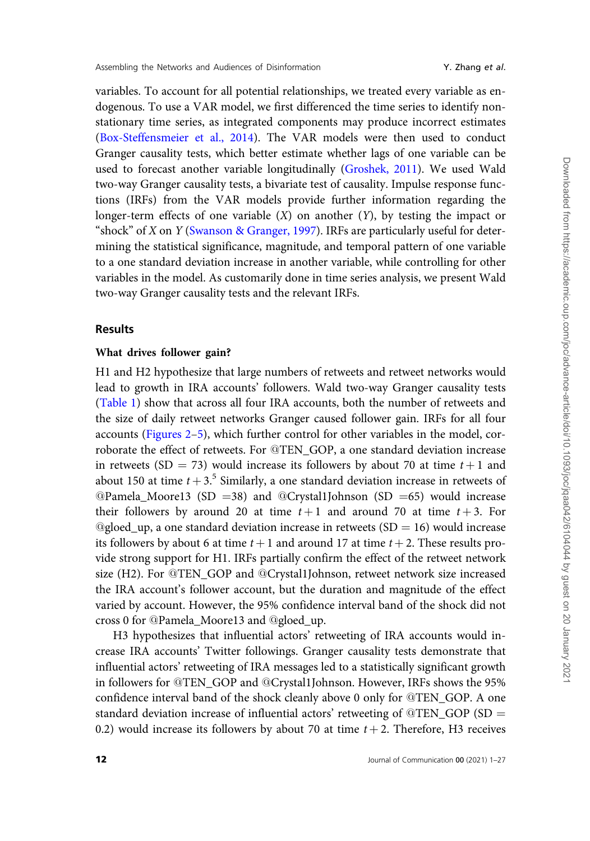variables. To account for all potential relationships, we treated every variable as endogenous. To use a VAR model, we first differenced the time series to identify nonstationary time series, as integrated components may produce incorrect estimates [\(Box-Steffensmeier et al., 2014\)](#page-23-0). The VAR models were then used to conduct Granger causality tests, which better estimate whether lags of one variable can be used to forecast another variable longitudinally [\(Groshek, 2011](#page-24-0)). We used Wald two-way Granger causality tests, a bivariate test of causality. Impulse response functions (IRFs) from the VAR models provide further information regarding the longer-term effects of one variable  $(X)$  on another  $(Y)$ , by testing the impact or "shock" of X on Y [\(Swanson](#page-25-0) & [Granger, 1997\)](#page-25-0). IRFs are particularly useful for determining the statistical significance, magnitude, and temporal pattern of one variable to a one standard deviation increase in another variable, while controlling for other variables in the model. As customarily done in time series analysis, we present Wald two-way Granger causality tests and the relevant IRFs.

# Results

# What drives follower gain?

H1 and H2 hypothesize that large numbers of retweets and retweet networks would lead to growth in IRA accounts' followers. Wald two-way Granger causality tests [\(Table 1\)](#page-12-0) show that across all four IRA accounts, both the number of retweets and the size of daily retweet networks Granger caused follower gain. IRFs for all four accounts ([Figures 2–](#page-13-0)[5\)](#page-14-0), which further control for other variables in the model, corroborate the effect of retweets. For @TEN\_GOP, a one standard deviation increase in retweets (SD = 73) would increase its followers by about 70 at time  $t + 1$  and about 150 at time  $t + 3$ .<sup>5</sup> Similarly, a one standard deviation increase in retweets of @Pamela\_Moore13 (SD =38) and @Crystal1Johnson (SD =65) would increase their followers by around 20 at time  $t+1$  and around 70 at time  $t+3$ . For @gloed\_up, a one standard deviation increase in retweets  $(SD = 16)$  would increase its followers by about 6 at time  $t + 1$  and around 17 at time  $t + 2$ . These results provide strong support for H1. IRFs partially confirm the effect of the retweet network size (H2). For @TEN\_GOP and @Crystal1Johnson, retweet network size increased the IRA account's follower account, but the duration and magnitude of the effect varied by account. However, the 95% confidence interval band of the shock did not cross 0 for @Pamela\_Moore13 and @gloed\_up.

H3 hypothesizes that influential actors' retweeting of IRA accounts would increase IRA accounts' Twitter followings. Granger causality tests demonstrate that influential actors' retweeting of IRA messages led to a statistically significant growth in followers for @TEN\_GOP and @Crystal1Johnson. However, IRFs shows the 95% confidence interval band of the shock cleanly above 0 only for @TEN\_GOP. A one standard deviation increase of influential actors' retweeting of  $@TEN_GOP$  (SD = 0.2) would increase its followers by about 70 at time  $t + 2$ . Therefore, H3 receives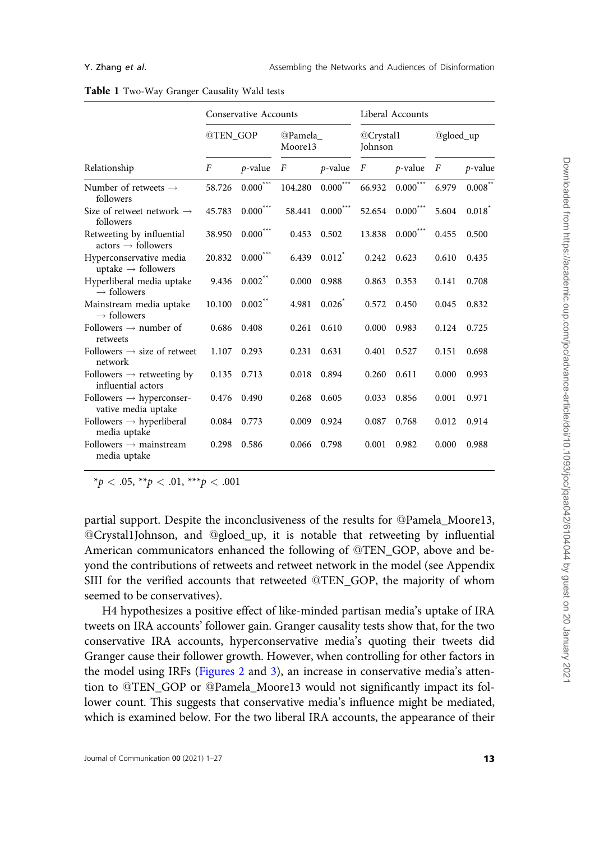|                                                             |                  | Conservative Accounts  |                    | Liberal Accounts |                      |               |              |         |
|-------------------------------------------------------------|------------------|------------------------|--------------------|------------------|----------------------|---------------|--------------|---------|
|                                                             | @TEN GOP         |                        | @Pamela<br>Moore13 |                  | @Crystal1<br>Johnson |               | $@gloed_ up$ |         |
| Relationship                                                | $\boldsymbol{F}$ | $p$ -value             | F                  | $p$ -value       | F                    | $p$ -value    | F            | p-value |
| Number of retweets $\rightarrow$<br>followers               | 58.726           | $0.000^{***}\,$        | 104.280            | $0.000^{\circ}$  | 66.932               | $0.000^{***}$ | 6.979        | 0.008   |
| Size of retweet network $\rightarrow$<br>followers          | 45.783           | $0.000^{***}$          | 58.441             | $0.000^{***}$    | 52.654               | $0.000^{***}$ | 5.604        | 0.018   |
| Retweeting by influential<br>$actors \rightarrow follows$   | 38.950           | $0.000$ <sup>***</sup> | 0.453              | 0.502            | 13.838               | $0.000^{***}$ | 0.455        | 0.500   |
| Hyperconservative media<br>uptake $\rightarrow$ followers   | 20.832           | $0.000$ <sup>***</sup> | 6.439              | $0.012^*$        | 0.242                | 0.623         | 0.610        | 0.435   |
| Hyperliberal media uptake<br>$\rightarrow$ followers        | 9.436            | $0.002$ **             | 0.000              | 0.988            | 0.863                | 0.353         | 0.141        | 0.708   |
| Mainstream media uptake<br>$\rightarrow$ followers          | 10.100           | $0.002$ **             | 4.981              | 0.026            | 0.572                | 0.450         | 0.045        | 0.832   |
| Followers $\rightarrow$ number of<br>retweets               | 0.686            | 0.408                  | 0.261              | 0.610            | 0.000                | 0.983         | 0.124        | 0.725   |
| Followers $\rightarrow$ size of retweet<br>network          | 1.107            | 0.293                  | 0.231              | 0.631            | 0.401                | 0.527         | 0.151        | 0.698   |
| Followers $\rightarrow$ retweeting by<br>influential actors | 0.135            | 0.713                  | 0.018              | 0.894            | 0.260                | 0.611         | 0.000        | 0.993   |
| Followers $\rightarrow$ hyperconser-<br>vative media uptake | 0.476            | 0.490                  | 0.268              | 0.605            | 0.033                | 0.856         | 0.001        | 0.971   |
| Followers $\rightarrow$ hyperliberal<br>media uptake        | 0.084            | 0.773                  | 0.009              | 0.924            | 0.087                | 0.768         | 0.012        | 0.914   |
| Followers $\rightarrow$ mainstream<br>media uptake          | 0.298            | 0.586                  | 0.066              | 0.798            | 0.001                | 0.982         | 0.000        | 0.988   |

#### <span id="page-12-0"></span>Table 1 Two-Way Granger Causality Wald tests

\*p < .05, \*\*p < .01, \*\*\*p < .001

partial support. Despite the inconclusiveness of the results for @Pamela\_Moore13, @Crystal1Johnson, and @gloed\_up, it is notable that retweeting by influential American communicators enhanced the following of @TEN\_GOP, above and beyond the contributions of retweets and retweet network in the model (see Appendix SIII for the verified accounts that retweeted @TEN\_GOP, the majority of whom seemed to be conservatives).

H4 hypothesizes a positive effect of like-minded partisan media's uptake of IRA tweets on IRA accounts' follower gain. Granger causality tests show that, for the two conservative IRA accounts, hyperconservative media's quoting their tweets did Granger cause their follower growth. However, when controlling for other factors in the model using IRFs [\(Figures 2](#page-13-0) and [3\)](#page-13-0), an increase in conservative media's attention to @TEN\_GOP or @Pamela\_Moore13 would not significantly impact its follower count. This suggests that conservative media's influence might be mediated, which is examined below. For the two liberal IRA accounts, the appearance of their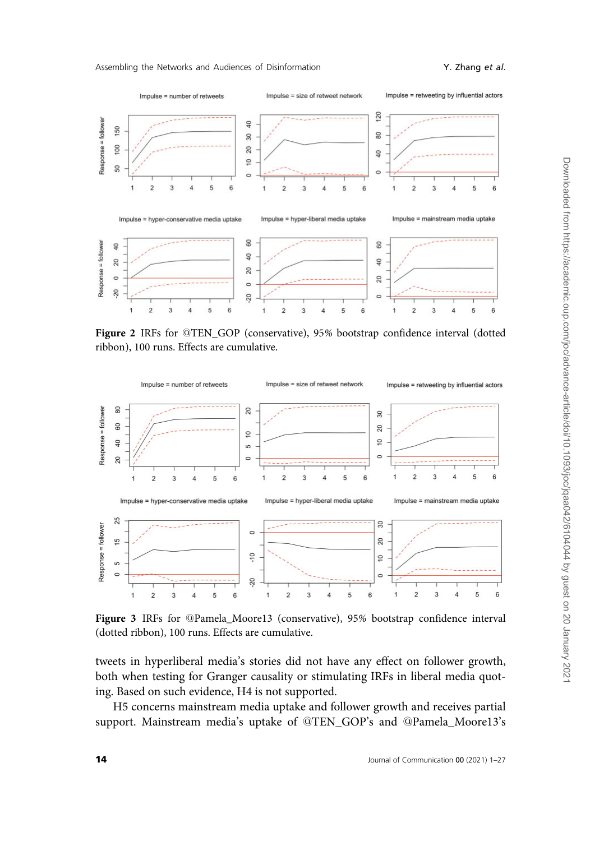<span id="page-13-0"></span>

Figure 2 IRFs for @TEN\_GOP (conservative), 95% bootstrap confidence interval (dotted ribbon), 100 runs. Effects are cumulative.



Figure 3 IRFs for @Pamela\_Moore13 (conservative), 95% bootstrap confidence interval (dotted ribbon), 100 runs. Effects are cumulative.

tweets in hyperliberal media's stories did not have any effect on follower growth, both when testing for Granger causality or stimulating IRFs in liberal media quoting. Based on such evidence, H4 is not supported.

H5 concerns mainstream media uptake and follower growth and receives partial support. Mainstream media's uptake of @TEN\_GOP's and @Pamela\_Moore13's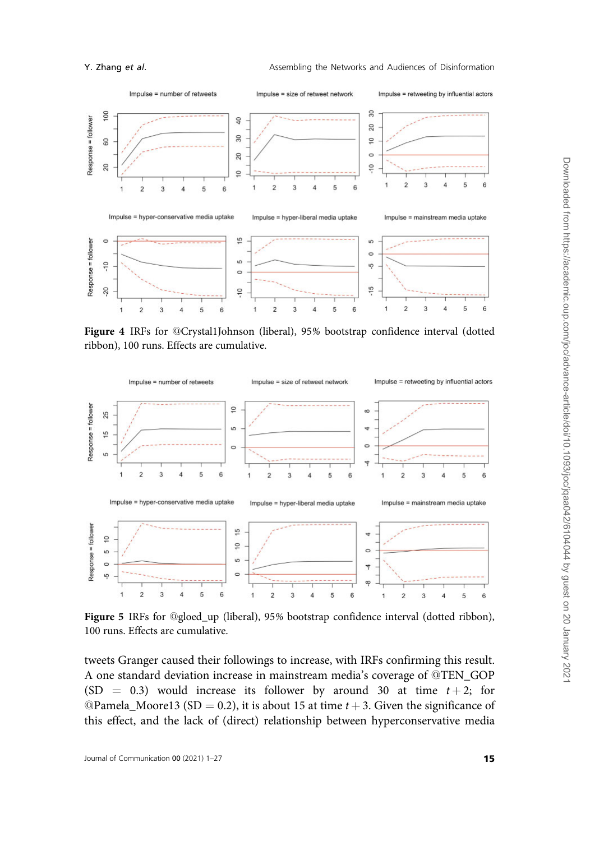<span id="page-14-0"></span>

Figure 4 IRFs for @Crystal1Johnson (liberal), 95% bootstrap confidence interval (dotted ribbon), 100 runs. Effects are cumulative.



Figure 5 IRFs for @gloed\_up (liberal), 95% bootstrap confidence interval (dotted ribbon), 100 runs. Effects are cumulative.

tweets Granger caused their followings to increase, with IRFs confirming this result. A one standard deviation increase in mainstream media's coverage of @TEN\_GOP (SD = 0.3) would increase its follower by around 30 at time  $t + 2$ ; for @Pamela\_Moore13 (SD = 0.2), it is about 15 at time  $t + 3$ . Given the significance of this effect, and the lack of (direct) relationship between hyperconservative media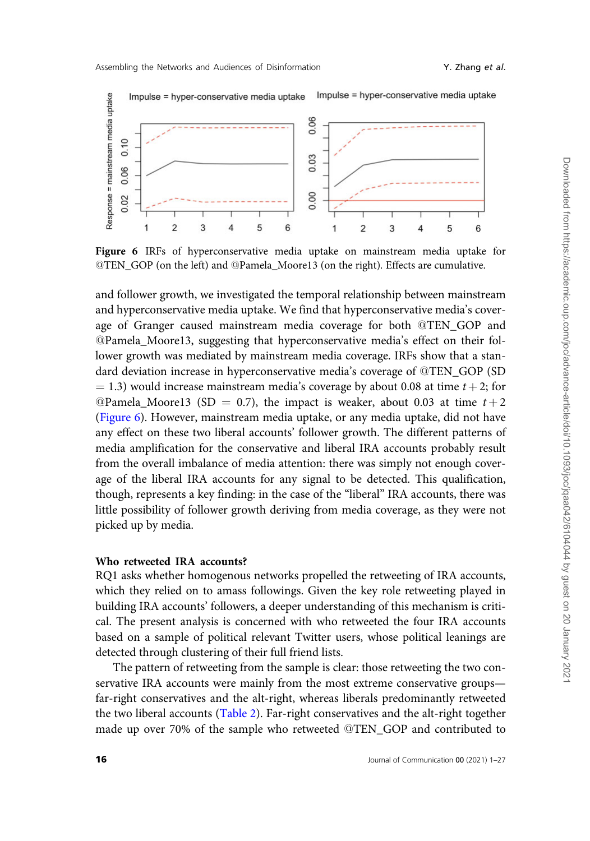

Figure 6 IRFs of hyperconservative media uptake on mainstream media uptake for @TEN\_GOP (on the left) and @Pamela\_Moore13 (on the right). Effects are cumulative.

and follower growth, we investigated the temporal relationship between mainstream and hyperconservative media uptake. We find that hyperconservative media's coverage of Granger caused mainstream media coverage for both @TEN\_GOP and @Pamela\_Moore13, suggesting that hyperconservative media's effect on their follower growth was mediated by mainstream media coverage. IRFs show that a standard deviation increase in hyperconservative media's coverage of @TEN\_GOP (SD  $= 1.3$ ) would increase mainstream media's coverage by about 0.08 at time  $t + 2$ ; for @Pamela\_Moore13 (SD = 0.7), the impact is weaker, about 0.03 at time  $t + 2$ (Figure 6). However, mainstream media uptake, or any media uptake, did not have any effect on these two liberal accounts' follower growth. The different patterns of media amplification for the conservative and liberal IRA accounts probably result from the overall imbalance of media attention: there was simply not enough coverage of the liberal IRA accounts for any signal to be detected. This qualification, though, represents a key finding: in the case of the "liberal" IRA accounts, there was little possibility of follower growth deriving from media coverage, as they were not picked up by media.

# Who retweeted IRA accounts?

RQ1 asks whether homogenous networks propelled the retweeting of IRA accounts, which they relied on to amass followings. Given the key role retweeting played in building IRA accounts' followers, a deeper understanding of this mechanism is critical. The present analysis is concerned with who retweeted the four IRA accounts based on a sample of political relevant Twitter users, whose political leanings are detected through clustering of their full friend lists.

The pattern of retweeting from the sample is clear: those retweeting the two conservative IRA accounts were mainly from the most extreme conservative groups far-right conservatives and the alt-right, whereas liberals predominantly retweeted the two liberal accounts ([Table 2](#page-16-0)). Far-right conservatives and the alt-right together made up over 70% of the sample who retweeted @TEN\_GOP and contributed to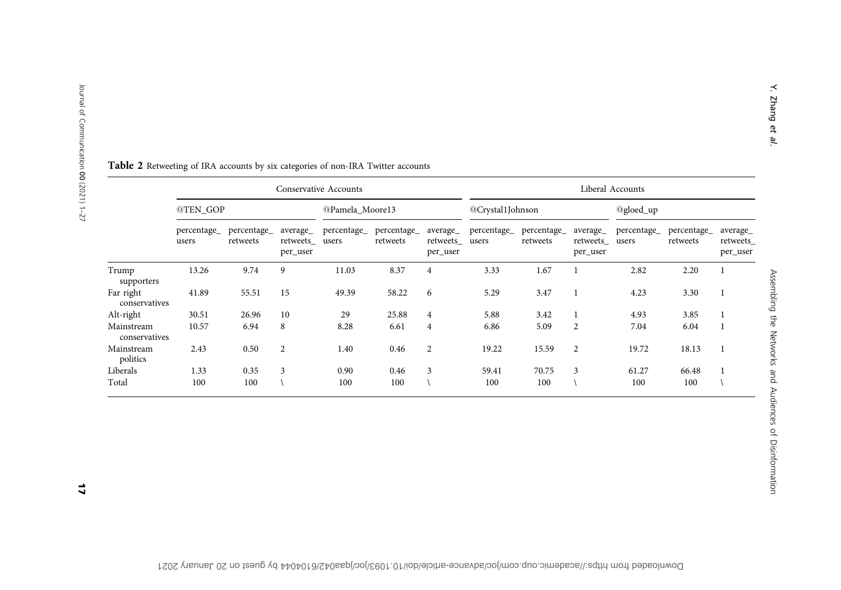|                             | Conservative Accounts |                         |                                   |                      |                         |                                   | Liberal Accounts     |                         |                                   |                      |                         |                                   |  |
|-----------------------------|-----------------------|-------------------------|-----------------------------------|----------------------|-------------------------|-----------------------------------|----------------------|-------------------------|-----------------------------------|----------------------|-------------------------|-----------------------------------|--|
|                             | @TEN_GOP              |                         |                                   | @Pamela Moore13      |                         |                                   | @Crystal1Johnson     |                         |                                   | @gloed_up            |                         |                                   |  |
|                             | percentage_<br>users  | percentage_<br>retweets | average_<br>retweets_<br>per_user | percentage_<br>users | percentage_<br>retweets | average_<br>retweets_<br>per_user | percentage_<br>users | percentage_<br>retweets | average_<br>retweets_<br>per_user | percentage_<br>users | percentage_<br>retweets | average_<br>retweets_<br>per_user |  |
| Trump<br>supporters         | 13.26                 | 9.74                    | 9                                 | 11.03                | 8.37                    | 4                                 | 3.33                 | 1.67                    |                                   | 2.82                 | 2.20                    |                                   |  |
| Far right<br>conservatives  | 41.89                 | 55.51                   | 15                                | 49.39                | 58.22                   | 6                                 | 5.29                 | 3.47                    |                                   | 4.23                 | 3.30                    |                                   |  |
| Alt-right                   | 30.51                 | 26.96                   | 10                                | 29                   | 25.88                   | $\overline{4}$                    | 5.88                 | 3.42                    |                                   | 4.93                 | 3.85                    |                                   |  |
| Mainstream<br>conservatives | 10.57                 | 6.94                    | 8                                 | 8.28                 | 6.61                    | $\overline{4}$                    | 6.86                 | 5.09                    | 2                                 | 7.04                 | 6.04                    |                                   |  |
| Mainstream<br>politics      | 2.43                  | 0.50                    | $\overline{2}$                    | 1.40                 | 0.46                    | $\overline{2}$                    | 19.22                | 15.59                   | $\mathbf{2}$                      | 19.72                | 18.13                   |                                   |  |
| Liberals                    | 1.33                  | 0.35                    | 3                                 | 0.90                 | 0.46                    | 3                                 | 59.41                | 70.75                   | 3                                 | 61.27                | 66.48                   |                                   |  |
| Total                       | 100                   | 100                     |                                   | 100                  | 100                     |                                   | 100                  | 100                     |                                   | 100                  | 100                     |                                   |  |

#### <span id="page-16-0"></span>Table 2 Retweeting of IRA accounts by six categories of non-IRA Twitter accounts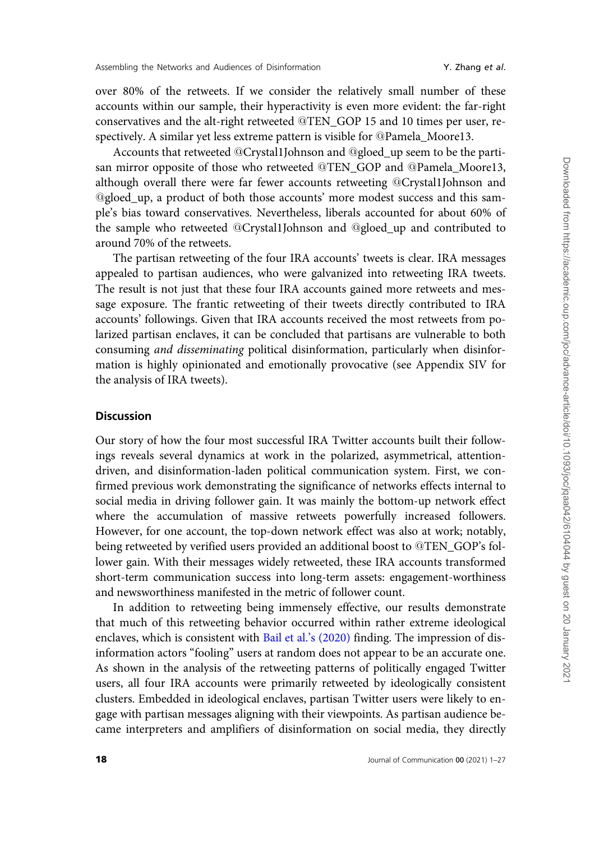over 80% of the retweets. If we consider the relatively small number of these accounts within our sample, their hyperactivity is even more evident: the far-right conservatives and the alt-right retweeted @TEN\_GOP 15 and 10 times per user, respectively. A similar yet less extreme pattern is visible for @Pamela\_Moore13.

Accounts that retweeted @Crystal1Johnson and @gloed\_up seem to be the partisan mirror opposite of those who retweeted @TEN\_GOP and @Pamela\_Moore13, although overall there were far fewer accounts retweeting @Crystal1Johnson and @gloed\_up, a product of both those accounts' more modest success and this sample's bias toward conservatives. Nevertheless, liberals accounted for about 60% of the sample who retweeted @Crystal1Johnson and @gloed\_up and contributed to around 70% of the retweets.

The partisan retweeting of the four IRA accounts' tweets is clear. IRA messages appealed to partisan audiences, who were galvanized into retweeting IRA tweets. The result is not just that these four IRA accounts gained more retweets and message exposure. The frantic retweeting of their tweets directly contributed to IRA accounts' followings. Given that IRA accounts received the most retweets from polarized partisan enclaves, it can be concluded that partisans are vulnerable to both consuming and disseminating political disinformation, particularly when disinformation is highly opinionated and emotionally provocative (see Appendix SIV for the analysis of IRA tweets).

# **Discussion**

Our story of how the four most successful IRA Twitter accounts built their followings reveals several dynamics at work in the polarized, asymmetrical, attentiondriven, and disinformation-laden political communication system. First, we confirmed previous work demonstrating the significance of networks effects internal to social media in driving follower gain. It was mainly the bottom-up network effect where the accumulation of massive retweets powerfully increased followers. However, for one account, the top-down network effect was also at work; notably, being retweeted by verified users provided an additional boost to @TEN\_GOP's follower gain. With their messages widely retweeted, these IRA accounts transformed short-term communication success into long-term assets: engagement-worthiness and newsworthiness manifested in the metric of follower count.

In addition to retweeting being immensely effective, our results demonstrate that much of this retweeting behavior occurred within rather extreme ideological enclaves, which is consistent with [Bail et al.'s \(2020\)](#page-22-0) finding. The impression of disinformation actors "fooling" users at random does not appear to be an accurate one. As shown in the analysis of the retweeting patterns of politically engaged Twitter users, all four IRA accounts were primarily retweeted by ideologically consistent clusters. Embedded in ideological enclaves, partisan Twitter users were likely to engage with partisan messages aligning with their viewpoints. As partisan audience became interpreters and amplifiers of disinformation on social media, they directly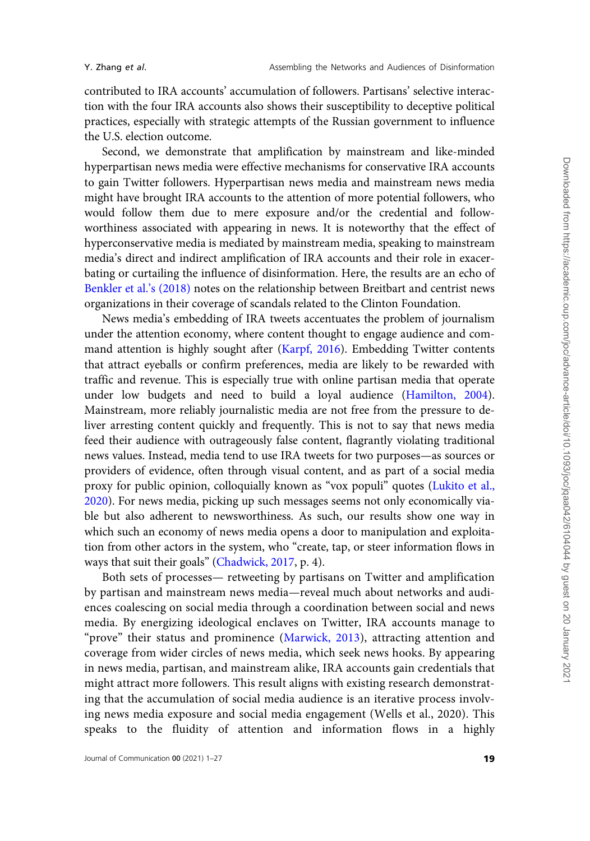contributed to IRA accounts' accumulation of followers. Partisans' selective interaction with the four IRA accounts also shows their susceptibility to deceptive political practices, especially with strategic attempts of the Russian government to influence the U.S. election outcome.

Second, we demonstrate that amplification by mainstream and like-minded hyperpartisan news media were effective mechanisms for conservative IRA accounts to gain Twitter followers. Hyperpartisan news media and mainstream news media might have brought IRA accounts to the attention of more potential followers, who would follow them due to mere exposure and/or the credential and followworthiness associated with appearing in news. It is noteworthy that the effect of hyperconservative media is mediated by mainstream media, speaking to mainstream media's direct and indirect amplification of IRA accounts and their role in exacerbating or curtailing the influence of disinformation. Here, the results are an echo of [Benkler et al.'s \(2018\)](#page-22-0) notes on the relationship between Breitbart and centrist news organizations in their coverage of scandals related to the Clinton Foundation.

News media's embedding of IRA tweets accentuates the problem of journalism under the attention economy, where content thought to engage audience and command attention is highly sought after [\(Karpf, 2016](#page-24-0)). Embedding Twitter contents that attract eyeballs or confirm preferences, media are likely to be rewarded with traffic and revenue. This is especially true with online partisan media that operate under low budgets and need to build a loyal audience [\(Hamilton, 2004](#page-24-0)). Mainstream, more reliably journalistic media are not free from the pressure to deliver arresting content quickly and frequently. This is not to say that news media feed their audience with outrageously false content, flagrantly violating traditional news values. Instead, media tend to use IRA tweets for two purposes—as sources or providers of evidence, often through visual content, and as part of a social media proxy for public opinion, colloquially known as "vox populi" quotes [\(Lukito et al.,](#page-24-0) [2020](#page-24-0)). For news media, picking up such messages seems not only economically viable but also adherent to newsworthiness. As such, our results show one way in which such an economy of news media opens a door to manipulation and exploitation from other actors in the system, who "create, tap, or steer information flows in ways that suit their goals" [\(Chadwick, 2017,](#page-23-0) p. 4).

Both sets of processes— retweeting by partisans on Twitter and amplification by partisan and mainstream news media—reveal much about networks and audiences coalescing on social media through a coordination between social and news media. By energizing ideological enclaves on Twitter, IRA accounts manage to "prove" their status and prominence ([Marwick, 2013](#page-24-0)), attracting attention and coverage from wider circles of news media, which seek news hooks. By appearing in news media, partisan, and mainstream alike, IRA accounts gain credentials that might attract more followers. This result aligns with existing research demonstrating that the accumulation of social media audience is an iterative process involving news media exposure and social media engagement (Wells et al., 2020). This speaks to the fluidity of attention and information flows in a highly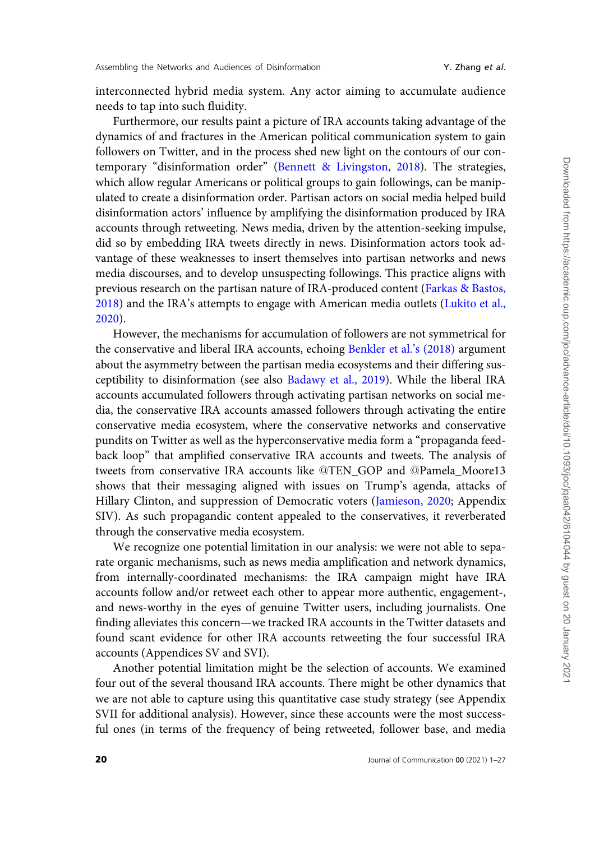interconnected hybrid media system. Any actor aiming to accumulate audience needs to tap into such fluidity.

Furthermore, our results paint a picture of IRA accounts taking advantage of the dynamics of and fractures in the American political communication system to gain followers on Twitter, and in the process shed new light on the contours of our contemporary "disinformation order" ([Bennett](#page-22-0) & [Livingston, 2018](#page-22-0)). The strategies, which allow regular Americans or political groups to gain followings, can be manipulated to create a disinformation order. Partisan actors on social media helped build disinformation actors' influence by amplifying the disinformation produced by IRA accounts through retweeting. News media, driven by the attention-seeking impulse, did so by embedding IRA tweets directly in news. Disinformation actors took advantage of these weaknesses to insert themselves into partisan networks and news media discourses, and to develop unsuspecting followings. This practice aligns with previous research on the partisan nature of IRA-produced content ([Farkas & Bastos,](#page-23-0) [2018\)](#page-23-0) and the IRA's attempts to engage with American media outlets [\(Lukito et al.,](#page-24-0) [2020\)](#page-24-0).

However, the mechanisms for accumulation of followers are not symmetrical for the conservative and liberal IRA accounts, echoing [Benkler et al.'s \(2018\)](#page-22-0) argument about the asymmetry between the partisan media ecosystems and their differing susceptibility to disinformation (see also [Badawy et al., 2019\)](#page-22-0). While the liberal IRA accounts accumulated followers through activating partisan networks on social media, the conservative IRA accounts amassed followers through activating the entire conservative media ecosystem, where the conservative networks and conservative pundits on Twitter as well as the hyperconservative media form a "propaganda feedback loop" that amplified conservative IRA accounts and tweets. The analysis of tweets from conservative IRA accounts like @TEN\_GOP and @Pamela\_Moore13 shows that their messaging aligned with issues on Trump's agenda, attacks of Hillary Clinton, and suppression of Democratic voters [\(Jamieson, 2020;](#page-24-0) Appendix SIV). As such propagandic content appealed to the conservatives, it reverberated through the conservative media ecosystem.

We recognize one potential limitation in our analysis: we were not able to separate organic mechanisms, such as news media amplification and network dynamics, from internally-coordinated mechanisms: the IRA campaign might have IRA accounts follow and/or retweet each other to appear more authentic, engagement-, and news-worthy in the eyes of genuine Twitter users, including journalists. One finding alleviates this concern—we tracked IRA accounts in the Twitter datasets and found scant evidence for other IRA accounts retweeting the four successful IRA accounts (Appendices SV and SVI).

Another potential limitation might be the selection of accounts. We examined four out of the several thousand IRA accounts. There might be other dynamics that we are not able to capture using this quantitative case study strategy (see Appendix SVII for additional analysis). However, since these accounts were the most successful ones (in terms of the frequency of being retweeted, follower base, and media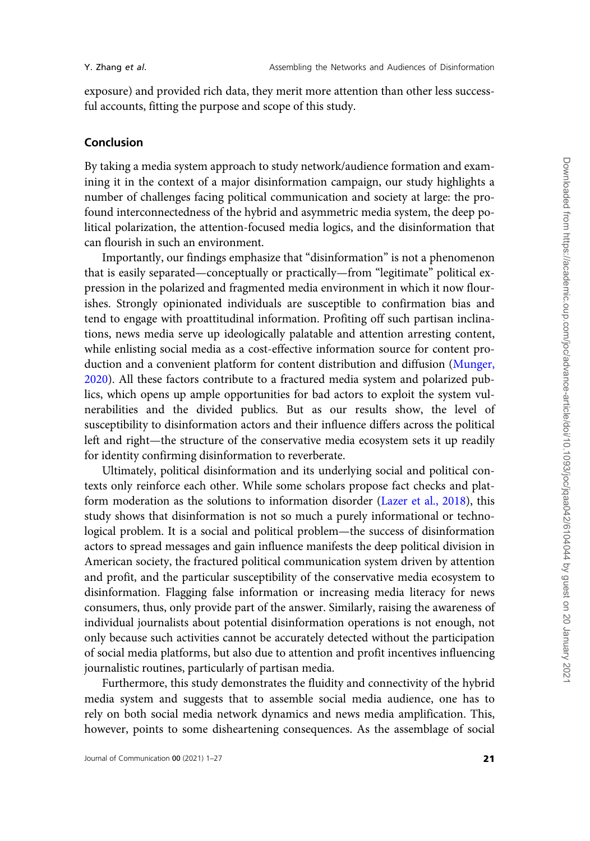exposure) and provided rich data, they merit more attention than other less successful accounts, fitting the purpose and scope of this study.

### Conclusion

By taking a media system approach to study network/audience formation and examining it in the context of a major disinformation campaign, our study highlights a number of challenges facing political communication and society at large: the profound interconnectedness of the hybrid and asymmetric media system, the deep political polarization, the attention-focused media logics, and the disinformation that can flourish in such an environment.

Importantly, our findings emphasize that "disinformation" is not a phenomenon that is easily separated—conceptually or practically—from "legitimate" political expression in the polarized and fragmented media environment in which it now flourishes. Strongly opinionated individuals are susceptible to confirmation bias and tend to engage with proattitudinal information. Profiting off such partisan inclinations, news media serve up ideologically palatable and attention arresting content, while enlisting social media as a cost-effective information source for content production and a convenient platform for content distribution and diffusion ([Munger,](#page-25-0) [2020](#page-25-0)). All these factors contribute to a fractured media system and polarized publics, which opens up ample opportunities for bad actors to exploit the system vulnerabilities and the divided publics. But as our results show, the level of susceptibility to disinformation actors and their influence differs across the political left and right—the structure of the conservative media ecosystem sets it up readily for identity confirming disinformation to reverberate.

Ultimately, political disinformation and its underlying social and political contexts only reinforce each other. While some scholars propose fact checks and platform moderation as the solutions to information disorder [\(Lazer et al., 2018\)](#page-24-0), this study shows that disinformation is not so much a purely informational or technological problem. It is a social and political problem—the success of disinformation actors to spread messages and gain influence manifests the deep political division in American society, the fractured political communication system driven by attention and profit, and the particular susceptibility of the conservative media ecosystem to disinformation. Flagging false information or increasing media literacy for news consumers, thus, only provide part of the answer. Similarly, raising the awareness of individual journalists about potential disinformation operations is not enough, not only because such activities cannot be accurately detected without the participation of social media platforms, but also due to attention and profit incentives influencing journalistic routines, particularly of partisan media.

Furthermore, this study demonstrates the fluidity and connectivity of the hybrid media system and suggests that to assemble social media audience, one has to rely on both social media network dynamics and news media amplification. This, however, points to some disheartening consequences. As the assemblage of social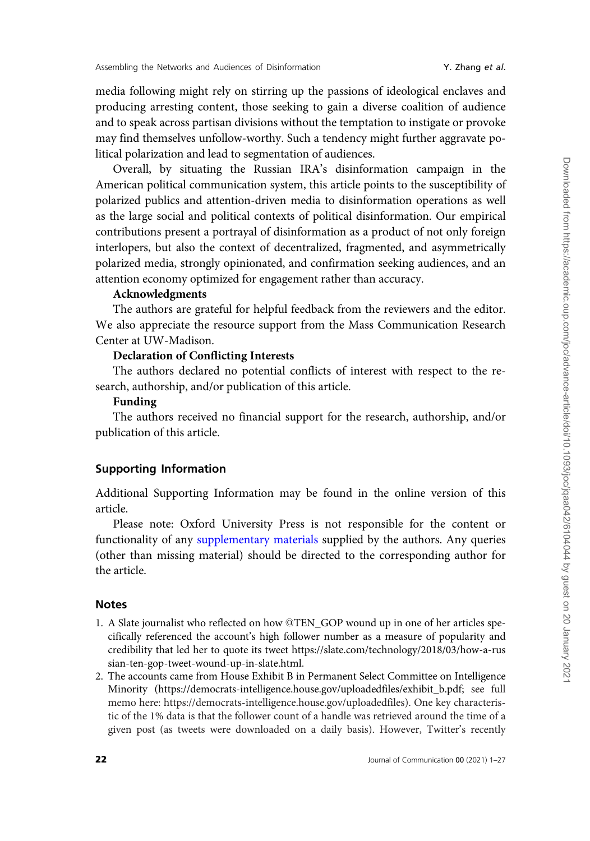media following might rely on stirring up the passions of ideological enclaves and producing arresting content, those seeking to gain a diverse coalition of audience and to speak across partisan divisions without the temptation to instigate or provoke may find themselves unfollow-worthy. Such a tendency might further aggravate political polarization and lead to segmentation of audiences.

Overall, by situating the Russian IRA's disinformation campaign in the American political communication system, this article points to the susceptibility of polarized publics and attention-driven media to disinformation operations as well as the large social and political contexts of political disinformation. Our empirical contributions present a portrayal of disinformation as a product of not only foreign interlopers, but also the context of decentralized, fragmented, and asymmetrically polarized media, strongly opinionated, and confirmation seeking audiences, and an attention economy optimized for engagement rather than accuracy.

# Acknowledgments

The authors are grateful for helpful feedback from the reviewers and the editor. We also appreciate the resource support from the Mass Communication Research Center at UW-Madison.

# Declaration of Conflicting Interests

The authors declared no potential conflicts of interest with respect to the research, authorship, and/or publication of this article.

#### Funding

The authors received no financial support for the research, authorship, and/or publication of this article.

#### Supporting Information

Additional Supporting Information may be found in the online version of this article.

Please note: Oxford University Press is not responsible for the content or functionality of any [supplementary materials](
article-lookup/doi/10.1093/joc/jqaa042#supplementary-data) supplied by the authors. Any queries (other than missing material) should be directed to the corresponding author for the article.

### Notes

- 1. A Slate journalist who reflected on how @TEN\_GOP wound up in one of her articles specifically referenced the account's high follower number as a measure of popularity and credibility that led her to quote its tweet [https://slate.com/technology/2018/03/how-a-rus](https://slate.com/technology/2018/03/how-a-russian-ten-gop-tweet-wound-up-in-slate.html) [sian-ten-gop-tweet-wound-up-in-slate.html](https://slate.com/technology/2018/03/how-a-russian-ten-gop-tweet-wound-up-in-slate.html).
- 2. The accounts came from House Exhibit B in Permanent Select Committee on Intelligence Minority [\(https://democrats-intelligence.house.gov/uploadedfiles/exhibit\\_b.pdf](https://democrats-intelligence.house.gov/uploadedfiles/exhibit_b.pdf); see full memo here:<https://democrats-intelligence.house.gov/uploadedfiles>). One key characteristic of the 1% data is that the follower count of a handle was retrieved around the time of a given post (as tweets were downloaded on a daily basis). However, Twitter's recently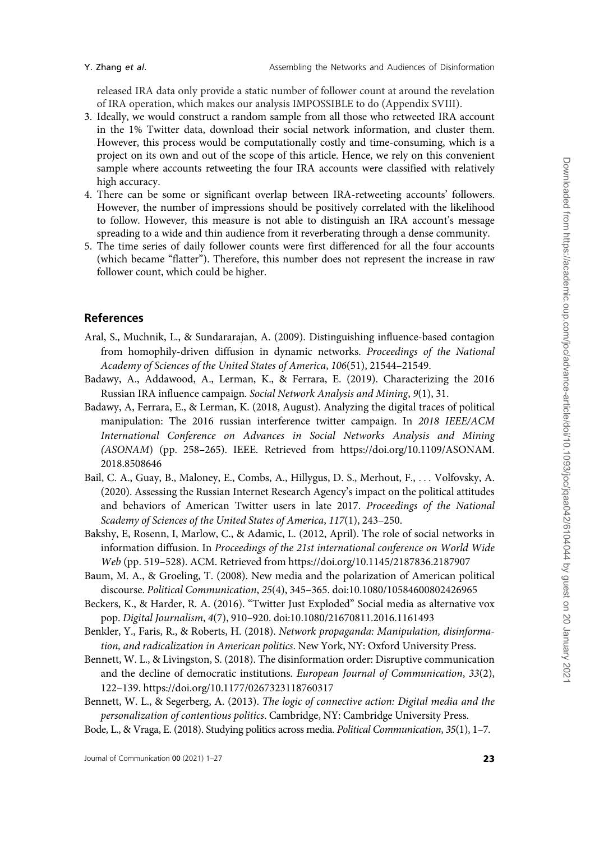<span id="page-22-0"></span>

released IRA data only provide a static number of follower count at around the revelation of IRA operation, which makes our analysis IMPOSSIBLE to do (Appendix SVIII).

- 3. Ideally, we would construct a random sample from all those who retweeted IRA account in the 1% Twitter data, download their social network information, and cluster them. However, this process would be computationally costly and time-consuming, which is a project on its own and out of the scope of this article. Hence, we rely on this convenient sample where accounts retweeting the four IRA accounts were classified with relatively high accuracy.
- 4. There can be some or significant overlap between IRA-retweeting accounts' followers. However, the number of impressions should be positively correlated with the likelihood to follow. However, this measure is not able to distinguish an IRA account's message spreading to a wide and thin audience from it reverberating through a dense community.
- 5. The time series of daily follower counts were first differenced for all the four accounts (which became "flatter"). Therefore, this number does not represent the increase in raw follower count, which could be higher.

# References

- Aral, S., Muchnik, L., & Sundararajan, A. (2009). Distinguishing influence-based contagion from homophily-driven diffusion in dynamic networks. Proceedings of the National Academy of Sciences of the United States of America, 106(51), 21544–21549.
- Badawy, A., Addawood, A., Lerman, K., & Ferrara, E. (2019). Characterizing the 2016 Russian IRA influence campaign. Social Network Analysis and Mining, 9(1), 31.
- Badawy, A, Ferrara, E., & Lerman, K. (2018, August). Analyzing the digital traces of political manipulation: The 2016 russian interference twitter campaign. In 2018 IEEE/ACM International Conference on Advances in Social Networks Analysis and Mining (ASONAM) (pp. 258–265). IEEE. Retrieved from [https://doi.org/10.1109/ASONAM.](https://doi.org/10.1109/ASONAM.2018.8508646) [2018.8508646](https://doi.org/10.1109/ASONAM.2018.8508646)
- Bail, C. A., Guay, B., Maloney, E., Combs, A., Hillygus, D. S., Merhout, F., ... Volfovsky, A. (2020). Assessing the Russian Internet Research Agency's impact on the political attitudes and behaviors of American Twitter users in late 2017. Proceedings of the National Scademy of Sciences of the United States of America, 117(1), 243–250.
- Bakshy, E, Rosenn, I, Marlow, C., & Adamic, L. (2012, April). The role of social networks in information diffusion. In Proceedings of the 21st international conference on World Wide Web (pp. 519–528). ACM. Retrieved from<https://doi.org/10.1145/2187836.2187907>
- Baum, M. A., & Groeling, T. (2008). New media and the polarization of American political discourse. Political Communication, 25(4), 345–365. [doi:10.1080/10584600802426965](http://doi:10.1080/10584600802426965)
- Beckers, K., & Harder, R. A. (2016). "Twitter Just Exploded" Social media as alternative vox pop. Digital Journalism, 4(7), 910–920. [doi:10.1080/21670811.2016.1161493](http://doi:10.1080/21670811.2016.1161493)
- Benkler, Y., Faris, R., & Roberts, H. (2018). Network propaganda: Manipulation, disinformation, and radicalization in American politics. New York, NY: Oxford University Press.
- Bennett, W. L., & Livingston, S. (2018). The disinformation order: Disruptive communication and the decline of democratic institutions. European Journal of Communication, 33(2), 122–139.<https://doi.org/10.1177/0267323118760317>
- Bennett, W. L., & Segerberg, A. (2013). The logic of connective action: Digital media and the personalization of contentious politics. Cambridge, NY: Cambridge University Press.

Bode, L., & Vraga, E. (2018). Studying politics across media. Political Communication, 35(1), 1–7.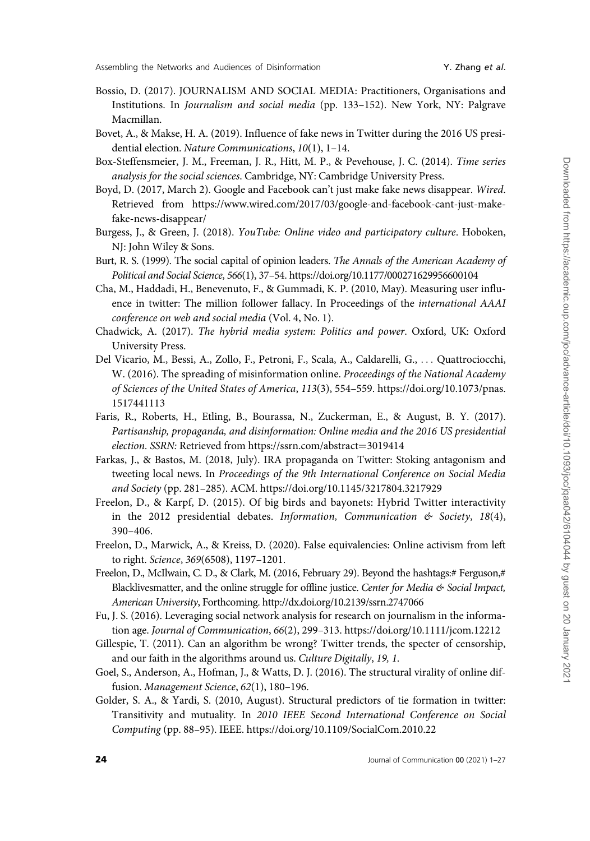- <span id="page-23-0"></span>Bossio, D. (2017). JOURNALISM AND SOCIAL MEDIA: Practitioners, Organisations and Institutions. In Journalism and social media (pp. 133–152). New York, NY: Palgrave Macmillan.
- Bovet, A., & Makse, H. A. (2019). Influence of fake news in Twitter during the 2016 US presidential election. Nature Communications, 10(1), 1–14.
- Box-Steffensmeier, J. M., Freeman, J. R., Hitt, M. P., & Pevehouse, J. C. (2014). Time series analysis for the social sciences. Cambridge, NY: Cambridge University Press.
- Boyd, D. (2017, March 2). Google and Facebook can't just make fake news disappear. Wired. Retrieved from [https://www.wired.com/2017/03/google-and-facebook-cant-just-make](https://www.wired.com/2017/03/google-and-facebook-cant-just-make-fake-news-disappear/)[fake-news-disappear/](https://www.wired.com/2017/03/google-and-facebook-cant-just-make-fake-news-disappear/)
- Burgess, J., & Green, J. (2018). YouTube: Online video and participatory culture. Hoboken, NJ: John Wiley & Sons.
- Burt, R. S. (1999). The social capital of opinion leaders. The Annals of the American Academy of Political and Social Science, 566(1), 37–54.<https://doi.org/10.1177/000271629956600104>
- Cha, M., Haddadi, H., Benevenuto, F., & Gummadi, K. P. (2010, May). Measuring user influence in twitter: The million follower fallacy. In Proceedings of the international AAAI conference on web and social media (Vol. 4, No. 1).
- Chadwick, A. (2017). The hybrid media system: Politics and power. Oxford, UK: Oxford University Press.
- Del Vicario, M., Bessi, A., Zollo, F., Petroni, F., Scala, A., Caldarelli, G., ... Quattrociocchi, W. (2016). The spreading of misinformation online. Proceedings of the National Academy of Sciences of the United States of America, 113(3), 554–559. [https://doi.org/10.1073/pnas.](https://doi.org/10.1073/pnas.1517441113) [1517441113](https://doi.org/10.1073/pnas.1517441113)
- Faris, R., Roberts, H., Etling, B., Bourassa, N., Zuckerman, E., & August, B. Y. (2017). Partisanship, propaganda, and disinformation: Online media and the 2016 US presidential election. SSRN: Retrieved from [https://ssrn.com/abstract](https://ssrn.com/abstract=3019414)=[3019414](https://ssrn.com/abstract=3019414)
- Farkas, J., & Bastos, M. (2018, July). IRA propaganda on Twitter: Stoking antagonism and tweeting local news. In Proceedings of the 9th International Conference on Social Media and Society (pp. 281–285). ACM.<https://doi.org/10.1145/3217804.3217929>
- Freelon, D., & Karpf, D. (2015). Of big birds and bayonets: Hybrid Twitter interactivity in the 2012 presidential debates. Information, Communication  $\mathfrak{G}$  Society, 18(4), 390–406.
- Freelon, D., Marwick, A., & Kreiss, D. (2020). False equivalencies: Online activism from left to right. Science, 369(6508), 1197–1201.
- Freelon, D., McIlwain, C. D., & Clark, M. (2016, February 29). Beyond the hashtags:# Ferguson,# Blacklivesmatter, and the online struggle for offline justice. Center for Media  $\mathfrak{G}$  Social Impact, American University, Forthcoming.<http://dx.doi.org/10.2139/ssrn.2747066>
- Fu, J. S. (2016). Leveraging social network analysis for research on journalism in the information age. Journal of Communication, 66(2), 299–313.<https://doi.org/10.1111/jcom.12212>
- Gillespie, T. (2011). Can an algorithm be wrong? Twitter trends, the specter of censorship, and our faith in the algorithms around us. Culture Digitally, 19, 1.
- Goel, S., Anderson, A., Hofman, J., & Watts, D. J. (2016). The structural virality of online diffusion. Management Science, 62(1), 180–196.
- Golder, S. A., & Yardi, S. (2010, August). Structural predictors of tie formation in twitter: Transitivity and mutuality. In 2010 IEEE Second International Conference on Social Computing (pp. 88–95). IEEE.<https://doi.org/10.1109/SocialCom.2010.22>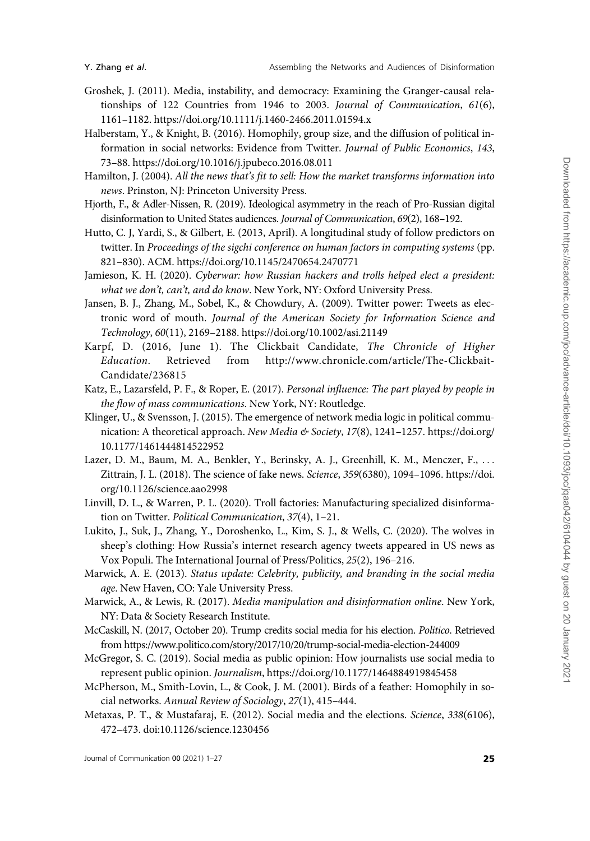- <span id="page-24-0"></span>Groshek, J. (2011). Media, instability, and democracy: Examining the Granger-causal relationships of 122 Countries from 1946 to 2003. Journal of Communication, 61(6), 1161–1182.<https://doi.org/10.1111/j.1460-2466.2011.01594.x>
- Halberstam, Y., & Knight, B. (2016). Homophily, group size, and the diffusion of political information in social networks: Evidence from Twitter. Journal of Public Economics, 143, 73–88.<https://doi.org/10.1016/j.jpubeco.2016.08.011>
- Hamilton, J. (2004). All the news that's fit to sell: How the market transforms information into news. Prinston, NJ: Princeton University Press.
- Hjorth, F., & Adler-Nissen, R. (2019). Ideological asymmetry in the reach of Pro-Russian digital disinformation to United States audiences. Journal of Communication, 69(2), 168–192.
- Hutto, C. J, Yardi, S., & Gilbert, E. (2013, April). A longitudinal study of follow predictors on twitter. In Proceedings of the sigchi conference on human factors in computing systems (pp. 821–830). ACM.<https://doi.org/10.1145/2470654.2470771>
- Jamieson, K. H. (2020). Cyberwar: how Russian hackers and trolls helped elect a president: what we don't, can't, and do know. New York, NY: Oxford University Press.
- Jansen, B. J., Zhang, M., Sobel, K., & Chowdury, A. (2009). Twitter power: Tweets as electronic word of mouth. Journal of the American Society for Information Science and Technology, 60(11), 2169–2188.<https://doi.org/10.1002/asi.21149>
- Karpf, D. (2016, June 1). The Clickbait Candidate, The Chronicle of Higher Education. Retrieved from [http://www.chronicle.com/article/The-Clickbait-](http://www.chronicle.com/article/The-Clickbait-Candidate/236815)[Candidate/236815](http://www.chronicle.com/article/The-Clickbait-Candidate/236815)
- Katz, E., Lazarsfeld, P. F., & Roper, E. (2017). Personal influence: The part played by people in the flow of mass communications. New York, NY: Routledge.
- Klinger, U., & Svensson, J. (2015). The emergence of network media logic in political communication: A theoretical approach. New Media & Society, 17(8), 1241-1257. [https://doi.org/](https://doi.org/10.1177/1461444814522952) [10.1177/1461444814522952](https://doi.org/10.1177/1461444814522952)
- Lazer, D. M., Baum, M. A., Benkler, Y., Berinsky, A. J., Greenhill, K. M., Menczer, F., ... Zittrain, J. L. (2018). The science of fake news. Science, 359(6380), 1094–1096. [https://doi.](https://doi.org/10.1126/science.aao2998) [org/10.1126/science.aao2998](https://doi.org/10.1126/science.aao2998)
- Linvill, D. L., & Warren, P. L. (2020). Troll factories: Manufacturing specialized disinformation on Twitter. Political Communication, 37(4), 1–21.
- Lukito, J., Suk, J., Zhang, Y., Doroshenko, L., Kim, S. J., & Wells, C. (2020). The wolves in sheep's clothing: How Russia's internet research agency tweets appeared in US news as Vox Populi. The International Journal of Press/Politics, 25(2), 196–216.
- Marwick, A. E. (2013). Status update: Celebrity, publicity, and branding in the social media age. New Haven, CO: Yale University Press.
- Marwick, A., & Lewis, R. (2017). Media manipulation and disinformation online. New York, NY: Data & Society Research Institute.
- McCaskill, N. (2017, October 20). Trump credits social media for his election. Politico. Retrieved from<https://www.politico.com/story/2017/10/20/trump-social-media-election-244009>
- McGregor, S. C. (2019). Social media as public opinion: How journalists use social media to represent public opinion. Journalism,<https://doi.org/10.1177/1464884919845458>
- McPherson, M., Smith-Lovin, L., & Cook, J. M. (2001). Birds of a feather: Homophily in social networks. Annual Review of Sociology, 27(1), 415–444.
- Metaxas, P. T., & Mustafaraj, E. (2012). Social media and the elections. Science, 338(6106), 472–473. doi:10.1126/science.1230456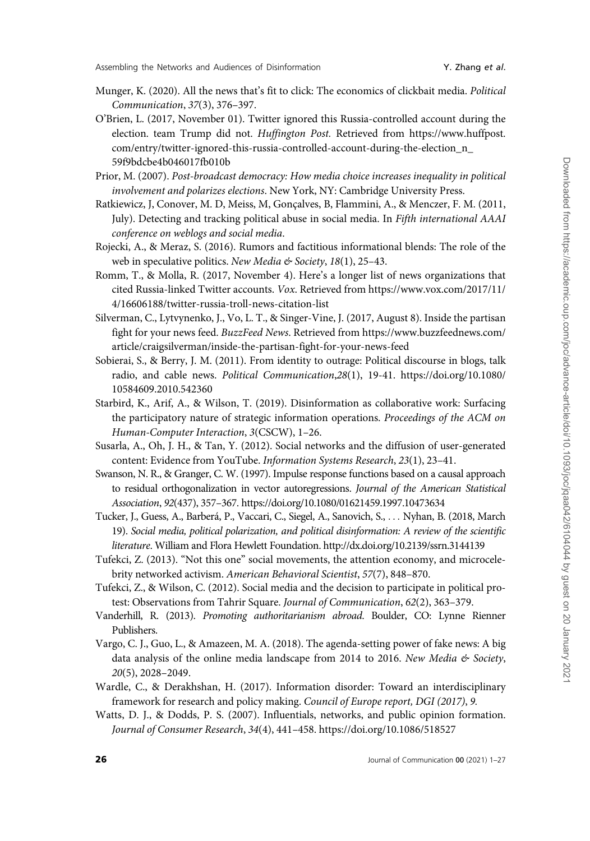- <span id="page-25-0"></span>Munger, K. (2020). All the news that's fit to click: The economics of clickbait media. Political Communication, 37(3), 376–397.
- O'Brien, L. (2017, November 01). Twitter ignored this Russia-controlled account during the election. team Trump did not. Huffington Post. Retrieved from [https://www.huffpost.](https://www.huffpost.com/entry/twitter-ignored-this-russia-controlled-account-during-the-election_n_59f9bdcbe4b046017fb010b) [com/entry/twitter-ignored-this-russia-controlled-account-during-the-election\\_n\\_](https://www.huffpost.com/entry/twitter-ignored-this-russia-controlled-account-during-the-election_n_59f9bdcbe4b046017fb010b) [59f9bdcbe4b046017fb010b](https://www.huffpost.com/entry/twitter-ignored-this-russia-controlled-account-during-the-election_n_59f9bdcbe4b046017fb010b)
- Prior, M. (2007). Post-broadcast democracy: How media choice increases inequality in political involvement and polarizes elections. New York, NY: Cambridge University Press.
- Ratkiewicz, J, Conover, M. D, Meiss, M, Gonçalves, B, Flammini, A., & Menczer, F. M. (2011, July). Detecting and tracking political abuse in social media. In Fifth international AAAI conference on weblogs and social media.
- Rojecki, A., & Meraz, S. (2016). Rumors and factitious informational blends: The role of the web in speculative politics. New Media & Society,  $18(1)$ , 25-43.
- Romm, T., & Molla, R. (2017, November 4). Here's a longer list of news organizations that cited Russia-linked Twitter accounts. Vox. Retrieved from [https://www.vox.com/2017/11/](https://www.vox.com/2017/11/4/16606188/twitter-russia-troll-news-citation-list) [4/16606188/twitter-russia-troll-news-citation-list](https://www.vox.com/2017/11/4/16606188/twitter-russia-troll-news-citation-list)
- Silverman, C., Lytvynenko, J., Vo, L. T., & Singer-Vine, J. (2017, August 8). Inside the partisan fight for your news feed. BuzzFeed News. Retrieved from [https://www.buzzfeednews.com/](https://www.buzzfeednews.com/article/craigsilverman/inside-the-partisan-fight-for-your-news-feed) [article/craigsilverman/inside-the-partisan-fight-for-your-news-feed](https://www.buzzfeednews.com/article/craigsilverman/inside-the-partisan-fight-for-your-news-feed)
- Sobierai, S., & Berry, J. M. (2011). From identity to outrage: Political discourse in blogs, talk radio, and cable news. Political Communication,28(1), 19-41. [https://doi.org/10.1080/](https://doi.org/10.1080/10584609.2010.542360) [10584609.2010.542360](https://doi.org/10.1080/10584609.2010.542360)
- Starbird, K., Arif, A., & Wilson, T. (2019). Disinformation as collaborative work: Surfacing the participatory nature of strategic information operations. Proceedings of the ACM on Human-Computer Interaction, 3(CSCW), 1–26.
- Susarla, A., Oh, J. H., & Tan, Y. (2012). Social networks and the diffusion of user-generated content: Evidence from YouTube. Information Systems Research, 23(1), 23-41.
- Swanson, N. R., & Granger, C. W. (1997). Impulse response functions based on a causal approach to residual orthogonalization in vector autoregressions. Journal of the American Statistical Association, 92(437), 357–367.<https://doi.org/10.1080/01621459.1997.10473634>
- Tucker, J., Guess, A., Barbera´, P., Vaccari, C., Siegel, A., Sanovich, S., ... Nyhan, B. (2018, March 19). Social media, political polarization, and political disinformation: A review of the scientific literature. William and Flora Hewlett Foundation.<http://dx.doi.org/10.2139/ssrn.3144139>
- Tufekci, Z. (2013). "Not this one" social movements, the attention economy, and microcelebrity networked activism. American Behavioral Scientist, 57(7), 848–870.
- Tufekci, Z., & Wilson, C. (2012). Social media and the decision to participate in political protest: Observations from Tahrir Square. Journal of Communication, 62(2), 363–379.
- Vanderhill, R. (2013). Promoting authoritarianism abroad. Boulder, CO: Lynne Rienner Publishers.
- Vargo, C. J., Guo, L., & Amazeen, M. A. (2018). The agenda-setting power of fake news: A big data analysis of the online media landscape from 2014 to 2016. New Media & Society, 20(5), 2028–2049.
- Wardle, C., & Derakhshan, H. (2017). Information disorder: Toward an interdisciplinary framework for research and policy making. Council of Europe report, DGI (2017), 9.
- Watts, D. J., & Dodds, P. S. (2007). Influentials, networks, and public opinion formation. Journal of Consumer Research, 34(4), 441–458.<https://doi.org/10.1086/518527>